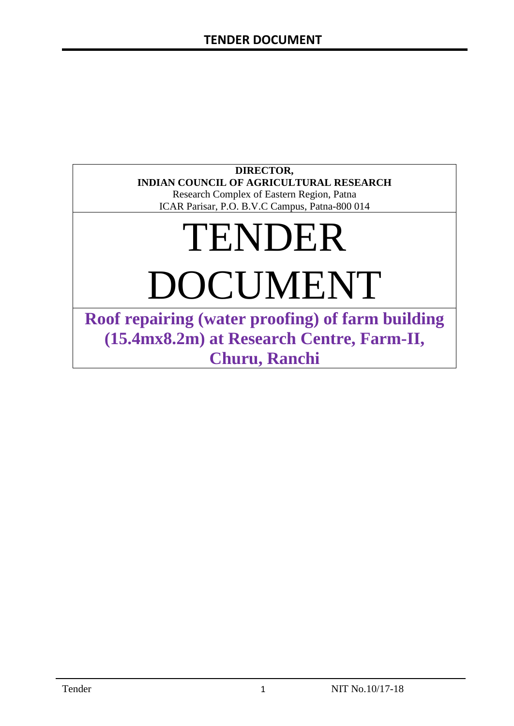# **DIRECTOR, INDIAN COUNCIL OF AGRICULTURAL RESEARCH**

Research Complex of Eastern Region, Patna ICAR Parisar, P.O. B.V.C Campus, Patna-800 014

# TENDER DOCUMENT

**Roof repairing (water proofing) of farm building (15.4mx8.2m) at Research Centre, Farm-II, Churu, Ranchi**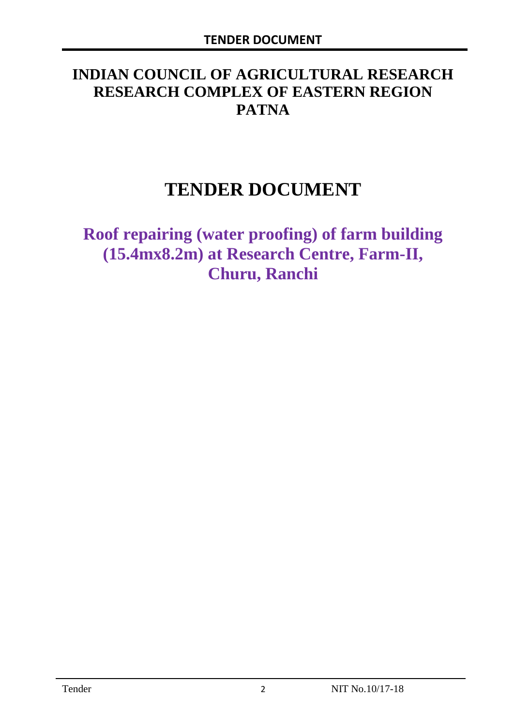# **INDIAN COUNCIL OF AGRICULTURAL RESEARCH RESEARCH COMPLEX OF EASTERN REGION PATNA**

# **TENDER DOCUMENT**

**Roof repairing (water proofing) of farm building (15.4mx8.2m) at Research Centre, Farm-II, Churu, Ranchi**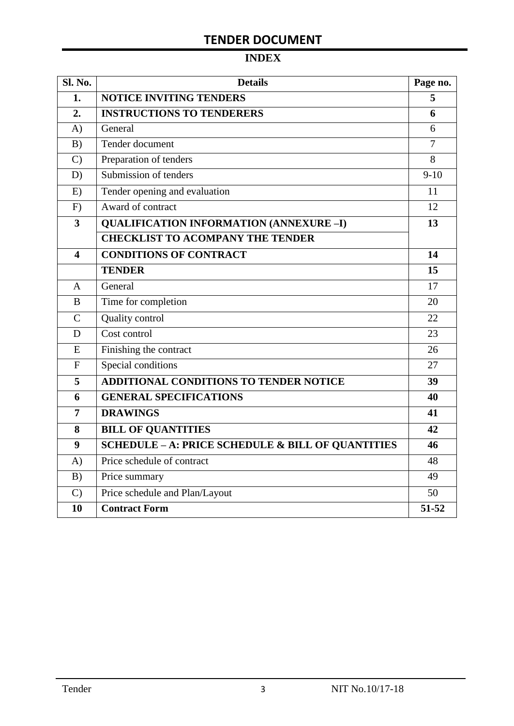# **TENDER DOCUMENT**

# **INDEX**

| <b>Sl. No.</b> | <b>Details</b>                                               | Page no.       |  |  |  |
|----------------|--------------------------------------------------------------|----------------|--|--|--|
| 1.             | <b>NOTICE INVITING TENDERS</b>                               |                |  |  |  |
| 2.             | <b>INSTRUCTIONS TO TENDERERS</b>                             | 6              |  |  |  |
| $\bf{A}$       | General                                                      | 6              |  |  |  |
| B)             | Tender document                                              | $\overline{7}$ |  |  |  |
| $\mathcal{C}$  | Preparation of tenders                                       | 8              |  |  |  |
| D)             | Submission of tenders                                        | $9-10$         |  |  |  |
| E)             | Tender opening and evaluation                                | 11             |  |  |  |
| F)             | Award of contract                                            | 12             |  |  |  |
| 3              | <b>QUALIFICATION INFORMATION (ANNEXURE-I)</b>                | 13             |  |  |  |
|                | <b>CHECKLIST TO ACOMPANY THE TENDER</b>                      |                |  |  |  |
| 4              | <b>CONDITIONS OF CONTRACT</b>                                | 14             |  |  |  |
|                | <b>TENDER</b>                                                | 15             |  |  |  |
| $\overline{A}$ | General                                                      | 17             |  |  |  |
| B              | Time for completion                                          | 20             |  |  |  |
| $\overline{C}$ | Quality control                                              | 22             |  |  |  |
| D              | Cost control                                                 | 23             |  |  |  |
| E              | Finishing the contract                                       | 26             |  |  |  |
| $\mathbf{F}$   | Special conditions                                           | 27             |  |  |  |
| 5              | <b>ADDITIONAL CONDITIONS TO TENDER NOTICE</b>                | 39             |  |  |  |
| 6              | <b>GENERAL SPECIFICATIONS</b>                                | 40             |  |  |  |
| $\overline{7}$ | <b>DRAWINGS</b>                                              | 41             |  |  |  |
| 8              | <b>BILL OF QUANTITIES</b>                                    | 42             |  |  |  |
| 9              | <b>SCHEDULE - A: PRICE SCHEDULE &amp; BILL OF QUANTITIES</b> | 46             |  |  |  |
| A)             | Price schedule of contract                                   | 48             |  |  |  |
| B)             | Price summary                                                | 49             |  |  |  |
| $\mathcal{C}$  | Price schedule and Plan/Layout                               | 50             |  |  |  |
| 10             | <b>Contract Form</b>                                         | 51-52          |  |  |  |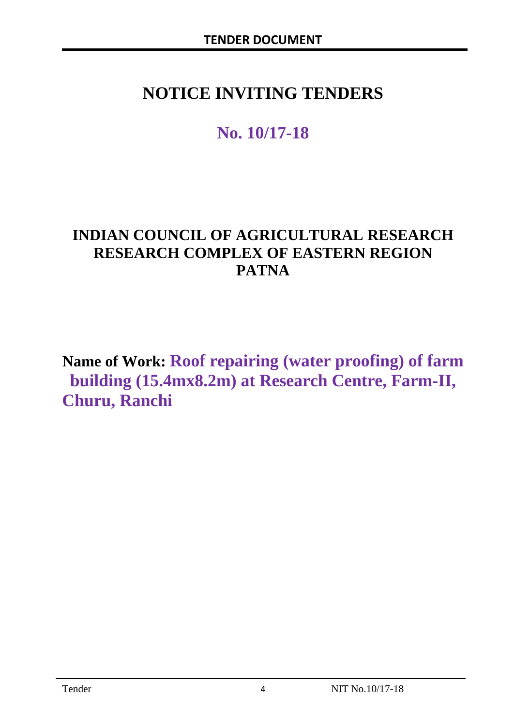# **NOTICE INVITING TENDERS**

# **No. 10/17-18**

# **INDIAN COUNCIL OF AGRICULTURAL RESEARCH RESEARCH COMPLEX OF EASTERN REGION PATNA**

**Name of Work: Roof repairing (water proofing) of farm building (15.4mx8.2m) at Research Centre, Farm-II, Churu, Ranchi**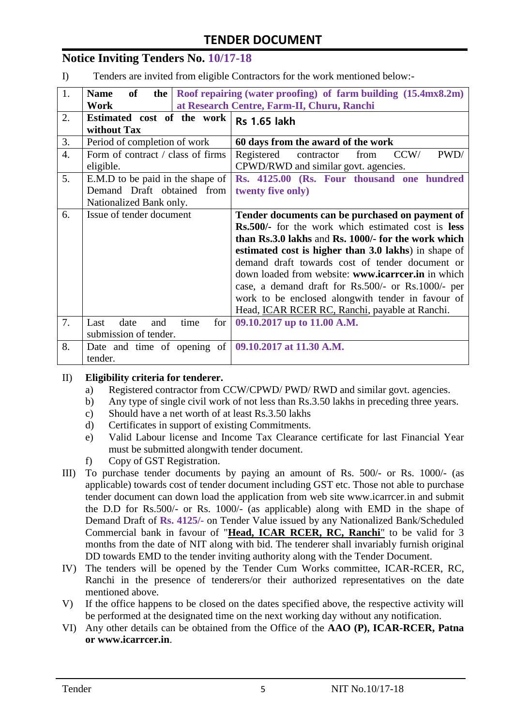# **TENDER DOCUMENT**

### **Notice Inviting Tenders No. 10/17-18**

I) Tenders are invited from eligible Contractors for the work mentioned below:-

| 1.               | of<br><b>Name</b>                                            | the $\vert$ Roof repairing (water proofing) of farm building $(15.4 \text{mx} 8.2 \text{m})$ |
|------------------|--------------------------------------------------------------|----------------------------------------------------------------------------------------------|
|                  | Work                                                         | at Research Centre, Farm-II, Churu, Ranchi                                                   |
| 2.               | Estimated cost of the work<br>without Tax                    | <b>Rs 1.65 lakh</b>                                                                          |
| 3.               | Period of completion of work                                 | 60 days from the award of the work                                                           |
| $\overline{4}$ . | Form of contract / class of firms<br>eligible.               | PWD/<br>CCW/<br>Registered<br>contractor<br>from<br>CPWD/RWD and similar govt. agencies.     |
| 5.               | E.M.D to be paid in the shape of                             | Rs. 4125.00 (Rs. Four thousand one hundred                                                   |
|                  | Demand Draft obtained from                                   | twenty five only)                                                                            |
|                  | Nationalized Bank only.                                      |                                                                                              |
| 6.               | Issue of tender document                                     | Tender documents can be purchased on payment of                                              |
|                  |                                                              | <b>Rs.500/-</b> for the work which estimated cost is <b>less</b>                             |
|                  |                                                              | than Rs.3.0 lakhs and Rs. 1000/- for the work which                                          |
|                  |                                                              | estimated cost is higher than 3.0 lakhs) in shape of                                         |
|                  |                                                              | demand draft towards cost of tender document or                                              |
|                  |                                                              | down loaded from website: www.icarrcer.in in which                                           |
|                  |                                                              | case, a demand draft for Rs.500/- or Rs.1000/- per                                           |
|                  |                                                              | work to be enclosed alongwith tender in favour of                                            |
|                  |                                                              | Head, ICAR RCER RC, Ranchi, payable at Ranchi.                                               |
| 7.               | date<br>time<br>for<br>Last<br>and                           | 09.10.2017 up to 11.00 A.M.                                                                  |
|                  | submission of tender.                                        |                                                                                              |
| 8.               | Date and time of opening of $\vert$ 09.10.2017 at 11.30 A.M. |                                                                                              |
|                  | tender.                                                      |                                                                                              |

#### II) **Eligibility criteria for tenderer.**

- a) Registered contractor from CCW/CPWD/ PWD/ RWD and similar govt. agencies.
- b) Any type of single civil work of not less than Rs.3.50 lakhs in preceding three years.
- c) Should have a net worth of at least Rs.3.50 lakhs
- d) Certificates in support of existing Commitments.
- e) Valid Labour license and Income Tax Clearance certificate for last Financial Year must be submitted alongwith tender document.
- f) Copy of GST Registration.
- III) To purchase tender documents by paying an amount of Rs. 500/- or Rs. 1000/- (as applicable) towards cost of tender document including GST etc. Those not able to purchase tender document can down load the application from web site www.icarrcer.in and submit the D.D for Rs.500/- or Rs. 1000/- (as applicable) along with EMD in the shape of Demand Draft of **Rs. 4125/-** on Tender Value issued by any Nationalized Bank/Scheduled Commercial bank in favour of "**Head, ICAR RCER, RC, Ranchi**" to be valid for 3 months from the date of NIT along with bid. The tenderer shall invariably furnish original DD towards EMD to the tender inviting authority along with the Tender Document.
- IV) The tenders will be opened by the Tender Cum Works committee, ICAR-RCER, RC, Ranchi in the presence of tenderers/or their authorized representatives on the date mentioned above.
- V) If the office happens to be closed on the dates specified above, the respective activity will be performed at the designated time on the next working day without any notification.
- VI) Any other details can be obtained from the Office of the **AAO (P), ICAR-RCER, Patna or www.icarrcer.in**.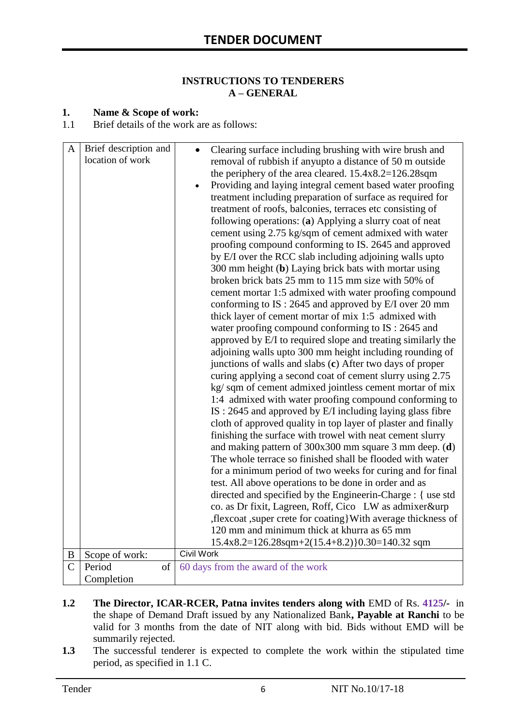#### **INSTRUCTIONS TO TENDERERS A – GENERAL**

#### **1. Name & Scope of work:**

1.1 Brief details of the work are as follows:

| $\mathbf{A}$   | Brief description and<br>location of work | Clearing surface including brushing with wire brush and<br>removal of rubbish if anyupto a distance of 50 m outside<br>the periphery of the area cleared. $15.4x8.2=126.28$ sqm<br>Providing and laying integral cement based water proofing<br>treatment including preparation of surface as required for<br>treatment of roofs, balconies, terraces etc consisting of<br>following operations: (a) Applying a slurry coat of neat<br>cement using 2.75 kg/sqm of cement admixed with water<br>proofing compound conforming to IS. 2645 and approved<br>by E/I over the RCC slab including adjoining walls upto<br>300 mm height (b) Laying brick bats with mortar using<br>broken brick bats 25 mm to 115 mm size with 50% of                                                                                                                                                                                                                                                                                                                                                                                                                                                                                                                                                                                                                  |
|----------------|-------------------------------------------|--------------------------------------------------------------------------------------------------------------------------------------------------------------------------------------------------------------------------------------------------------------------------------------------------------------------------------------------------------------------------------------------------------------------------------------------------------------------------------------------------------------------------------------------------------------------------------------------------------------------------------------------------------------------------------------------------------------------------------------------------------------------------------------------------------------------------------------------------------------------------------------------------------------------------------------------------------------------------------------------------------------------------------------------------------------------------------------------------------------------------------------------------------------------------------------------------------------------------------------------------------------------------------------------------------------------------------------------------|
|                |                                           | cement mortar 1:5 admixed with water proofing compound<br>conforming to IS: 2645 and approved by E/I over 20 mm<br>thick layer of cement mortar of mix 1:5 admixed with<br>water proofing compound conforming to IS : 2645 and<br>approved by E/I to required slope and treating similarly the<br>adjoining walls upto 300 mm height including rounding of<br>junctions of walls and slabs (c) After two days of proper<br>curing applying a second coat of cement slurry using 2.75<br>kg/ sqm of cement admixed jointless cement mortar of mix<br>1:4 admixed with water proofing compound conforming to<br>IS: 2645 and approved by E/I including laying glass fibre<br>cloth of approved quality in top layer of plaster and finally<br>finishing the surface with trowel with neat cement slurry<br>and making pattern of $300x300$ mm square 3 mm deep. (d)<br>The whole terrace so finished shall be flooded with water<br>for a minimum period of two weeks for curing and for final<br>test. All above operations to be done in order and as<br>directed and specified by the Engineerin-Charge : { use std<br>co. as Dr fixit, Lagreen, Roff, Cico LW as admixer&urp<br>, flexcoat, super crete for coating With average thickness of<br>120 mm and minimum thick at khurra as 65 mm<br>15.4x8.2=126.28sqm+2(15.4+8.2)}0.30=140.32 sqm |
| $\, {\bf B}$   | Scope of work:                            | <b>Civil Work</b>                                                                                                                                                                                                                                                                                                                                                                                                                                                                                                                                                                                                                                                                                                                                                                                                                                                                                                                                                                                                                                                                                                                                                                                                                                                                                                                                |
| $\overline{C}$ | Period<br>of<br>Completion                | 60 days from the award of the work                                                                                                                                                                                                                                                                                                                                                                                                                                                                                                                                                                                                                                                                                                                                                                                                                                                                                                                                                                                                                                                                                                                                                                                                                                                                                                               |

- **1.2 The Director, ICAR-RCER, Patna invites tenders along with** EMD of Rs. **4125/-** in the shape of Demand Draft issued by any Nationalized Bank**, Payable at Ranchi** to be valid for 3 months from the date of NIT along with bid. Bids without EMD will be summarily rejected.
- **1.3** The successful tenderer is expected to complete the work within the stipulated time period, as specified in 1.1 C.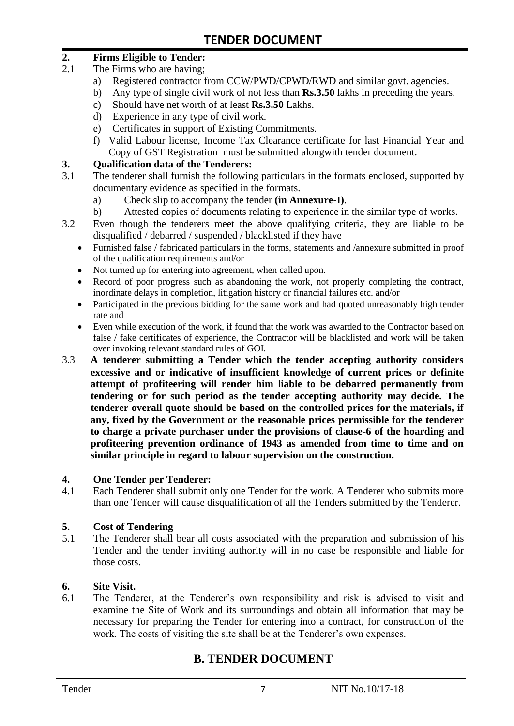#### **2. Firms Eligible to Tender:**

- 2.1 The Firms who are having;
	- a) Registered contractor from CCW/PWD/CPWD/RWD and similar govt. agencies.
	- b) Any type of single civil work of not less than **Rs.3.50** lakhs in preceding the years.
	- c) Should have net worth of at least **Rs.3.50** Lakhs.
	- d) Experience in any type of civil work.
	- e) Certificates in support of Existing Commitments.
	- f) Valid Labour license, Income Tax Clearance certificate for last Financial Year and Copy of GST Registration must be submitted alongwith tender document.

#### **3. Qualification data of the Tenderers:**

- 3.1 The tenderer shall furnish the following particulars in the formats enclosed, supported by documentary evidence as specified in the formats.
	- a) Check slip to accompany the tender **(in Annexure-I)**.
	- b) Attested copies of documents relating to experience in the similar type of works.
- 3.2 Even though the tenderers meet the above qualifying criteria, they are liable to be disqualified / debarred / suspended / blacklisted if they have
	- Furnished false / fabricated particulars in the forms, statements and /annexure submitted in proof of the qualification requirements and/or
	- Not turned up for entering into agreement, when called upon.
	- Record of poor progress such as abandoning the work, not properly completing the contract, inordinate delays in completion, litigation history or financial failures etc. and/or
	- Participated in the previous bidding for the same work and had quoted unreasonably high tender rate and
	- Even while execution of the work, if found that the work was awarded to the Contractor based on false / fake certificates of experience, the Contractor will be blacklisted and work will be taken over invoking relevant standard rules of GOI.
- 3.3 **A tenderer submitting a Tender which the tender accepting authority considers excessive and or indicative of insufficient knowledge of current prices or definite attempt of profiteering will render him liable to be debarred permanently from tendering or for such period as the tender accepting authority may decide. The tenderer overall quote should be based on the controlled prices for the materials, if any, fixed by the Government or the reasonable prices permissible for the tenderer to charge a private purchaser under the provisions of clause-6 of the hoarding and profiteering prevention ordinance of 1943 as amended from time to time and on similar principle in regard to labour supervision on the construction.**

#### **4. One Tender per Tenderer:**

4.1 Each Tenderer shall submit only one Tender for the work. A Tenderer who submits more than one Tender will cause disqualification of all the Tenders submitted by the Tenderer.

#### **5. Cost of Tendering**

5.1 The Tenderer shall bear all costs associated with the preparation and submission of his Tender and the tender inviting authority will in no case be responsible and liable for those costs.

#### **6. Site Visit.**

6.1 The Tenderer, at the Tenderer's own responsibility and risk is advised to visit and examine the Site of Work and its surroundings and obtain all information that may be necessary for preparing the Tender for entering into a contract, for construction of the work. The costs of visiting the site shall be at the Tenderer's own expenses.

# **B. TENDER DOCUMENT**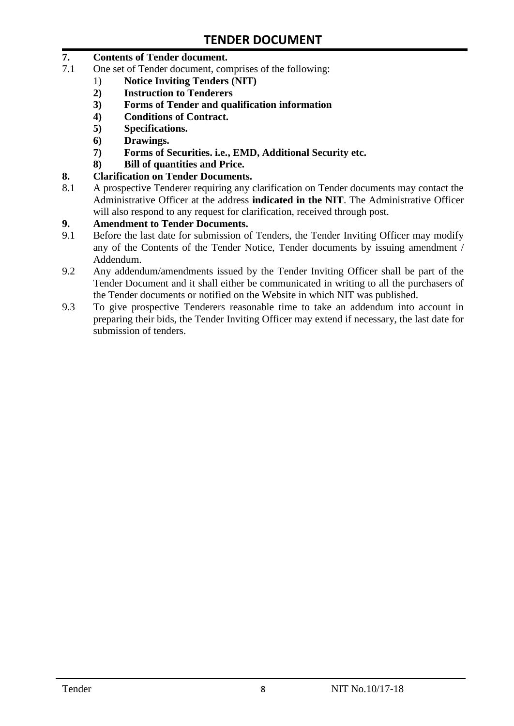#### **7. Contents of Tender document.**

- 7.1 One set of Tender document, comprises of the following:
	- 1) **Notice Inviting Tenders (NIT)**
	- **2) Instruction to Tenderers**
	- **3) Forms of Tender and qualification information**
	- **4) Conditions of Contract.**
	- **5) Specifications.**
	- **6) Drawings.**
	- **7) Forms of Securities. i.e., EMD, Additional Security etc.**
	- **8) Bill of quantities and Price.**
- **8. Clarification on Tender Documents.**
- 8.1 A prospective Tenderer requiring any clarification on Tender documents may contact the Administrative Officer at the address **indicated in the NIT**. The Administrative Officer will also respond to any request for clarification, received through post.

#### **9. Amendment to Tender Documents.**

- 9.1 Before the last date for submission of Tenders, the Tender Inviting Officer may modify any of the Contents of the Tender Notice, Tender documents by issuing amendment / Addendum.
- 9.2 Any addendum/amendments issued by the Tender Inviting Officer shall be part of the Tender Document and it shall either be communicated in writing to all the purchasers of the Tender documents or notified on the Website in which NIT was published.
- 9.3 To give prospective Tenderers reasonable time to take an addendum into account in preparing their bids, the Tender Inviting Officer may extend if necessary, the last date for submission of tenders.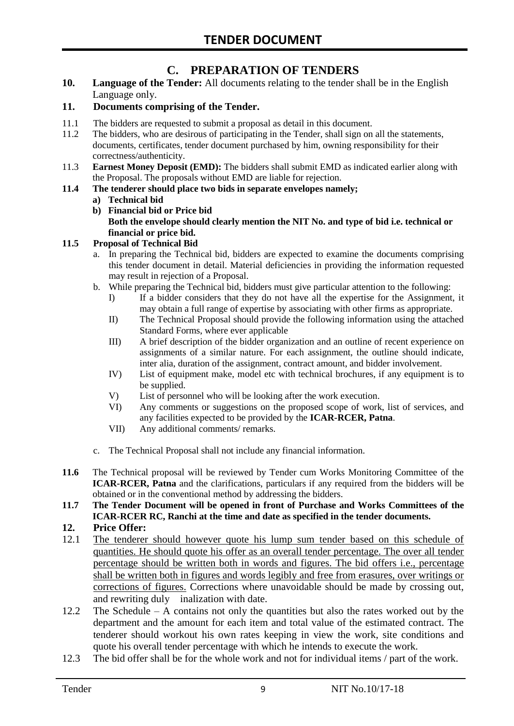# **C. PREPARATION OF TENDERS**

**10. Language of the Tender:** All documents relating to the tender shall be in the English Language only.

#### **11. Documents comprising of the Tender.**

- 11.1 The bidders are requested to submit a proposal as detail in this document.
- 11.2 The bidders, who are desirous of participating in the Tender, shall sign on all the statements, documents, certificates, tender document purchased by him, owning responsibility for their correctness/authenticity.
- 11.3 **Earnest Money Deposit (EMD):** The bidders shall submit EMD as indicated earlier along with the Proposal. The proposals without EMD are liable for rejection.

#### **11.4 The tenderer should place two bids in separate envelopes namely;**

#### **a) Technical bid**

**b) Financial bid or Price bid Both the envelope should clearly mention the NIT No. and type of bid i.e. technical or financial or price bid.**

#### **11.5 Proposal of Technical Bid**

- a. In preparing the Technical bid, bidders are expected to examine the documents comprising this tender document in detail. Material deficiencies in providing the information requested may result in rejection of a Proposal.
- b. While preparing the Technical bid, bidders must give particular attention to the following:
	- I) If a bidder considers that they do not have all the expertise for the Assignment, it may obtain a full range of expertise by associating with other firms as appropriate.
	- II) The Technical Proposal should provide the following information using the attached Standard Forms, where ever applicable
	- III) A brief description of the bidder organization and an outline of recent experience on assignments of a similar nature. For each assignment, the outline should indicate, inter alia, duration of the assignment, contract amount, and bidder involvement.
	- IV) List of equipment make, model etc with technical brochures, if any equipment is to be supplied.
	- V) List of personnel who will be looking after the work execution.
	- VI) Any comments or suggestions on the proposed scope of work, list of services, and any facilities expected to be provided by the **ICAR-RCER, Patna**.
	- VII) Any additional comments/ remarks.
- c. The Technical Proposal shall not include any financial information.
- **11.6** The Technical proposal will be reviewed by Tender cum Works Monitoring Committee of the **ICAR-RCER, Patna** and the clarifications, particulars if any required from the bidders will be obtained or in the conventional method by addressing the bidders.
- **11.7 The Tender Document will be opened in front of Purchase and Works Committees of the ICAR-RCER RC, Ranchi at the time and date as specified in the tender documents.**

#### **12. Price Offer:**

- 12.1 The tenderer should however quote his lump sum tender based on this schedule of quantities. He should quote his offer as an overall tender percentage. The over all tender percentage should be written both in words and figures. The bid offers i.e., percentage shall be written both in figures and words legibly and free from erasures, over writings or corrections of figures. Corrections where unavoidable should be made by crossing out, and rewriting duly inalization with date.
- 12.2 The Schedule A contains not only the quantities but also the rates worked out by the department and the amount for each item and total value of the estimated contract. The tenderer should workout his own rates keeping in view the work, site conditions and quote his overall tender percentage with which he intends to execute the work.
- 12.3 The bid offer shall be for the whole work and not for individual items / part of the work.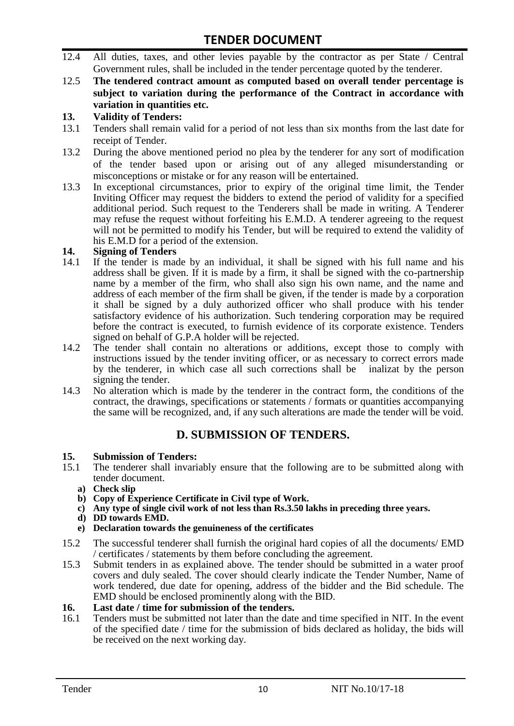- 12.4 All duties, taxes, and other levies payable by the contractor as per State / Central Government rules, shall be included in the tender percentage quoted by the tenderer.
- 12.5 **The tendered contract amount as computed based on overall tender percentage is subject to variation during the performance of the Contract in accordance with variation in quantities etc.**

#### **13. Validity of Tenders:**

- 13.1 Tenders shall remain valid for a period of not less than six months from the last date for receipt of Tender.
- 13.2 During the above mentioned period no plea by the tenderer for any sort of modification of the tender based upon or arising out of any alleged misunderstanding or misconceptions or mistake or for any reason will be entertained.
- 13.3 In exceptional circumstances, prior to expiry of the original time limit, the Tender Inviting Officer may request the bidders to extend the period of validity for a specified additional period. Such request to the Tenderers shall be made in writing. A Tenderer may refuse the request without forfeiting his E.M.D. A tenderer agreeing to the request will not be permitted to modify his Tender, but will be required to extend the validity of his E.M.D for a period of the extension.

#### **14. Signing of Tenders**

- 14.1 If the tender is made by an individual, it shall be signed with his full name and his address shall be given. If it is made by a firm, it shall be signed with the co-partnership name by a member of the firm, who shall also sign his own name, and the name and address of each member of the firm shall be given, if the tender is made by a corporation it shall be signed by a duly authorized officer who shall produce with his tender satisfactory evidence of his authorization. Such tendering corporation may be required before the contract is executed, to furnish evidence of its corporate existence. Tenders signed on behalf of G.P.A holder will be rejected.
- 14.2 The tender shall contain no alterations or additions, except those to comply with instructions issued by the tender inviting officer, or as necessary to correct errors made by the tenderer, in which case all such corrections shall be inalizat by the person signing the tender.
- 14.3 No alteration which is made by the tenderer in the contract form, the conditions of the contract, the drawings, specifications or statements / formats or quantities accompanying the same will be recognized, and, if any such alterations are made the tender will be void.

# **D. SUBMISSION OF TENDERS.**

# **15. Submission of Tenders:**

- 15.1 The tenderer shall invariably ensure that the following are to be submitted along with tender document.
	- **a) Check slip**
	- **b) Copy of Experience Certificate in Civil type of Work.**
	- **c) Any type of single civil work of not less than Rs.3.50 lakhs in preceding three years.**
	- **d) DD towards EMD.**
	- **e) Declaration towards the genuineness of the certificates**
- 15.2 The successful tenderer shall furnish the original hard copies of all the documents/ EMD / certificates / statements by them before concluding the agreement.
- 15.3 Submit tenders in as explained above. The tender should be submitted in a water proof covers and duly sealed. The cover should clearly indicate the Tender Number, Name of work tendered, due date for opening, address of the bidder and the Bid schedule. The EMD should be enclosed prominently along with the BID.

# **16. Last date / time for submission of the tenders.**<br>**16.1** Tenders must be submitted not later than the date

16.1 Tenders must be submitted not later than the date and time specified in NIT. In the event of the specified date / time for the submission of bids declared as holiday, the bids will be received on the next working day.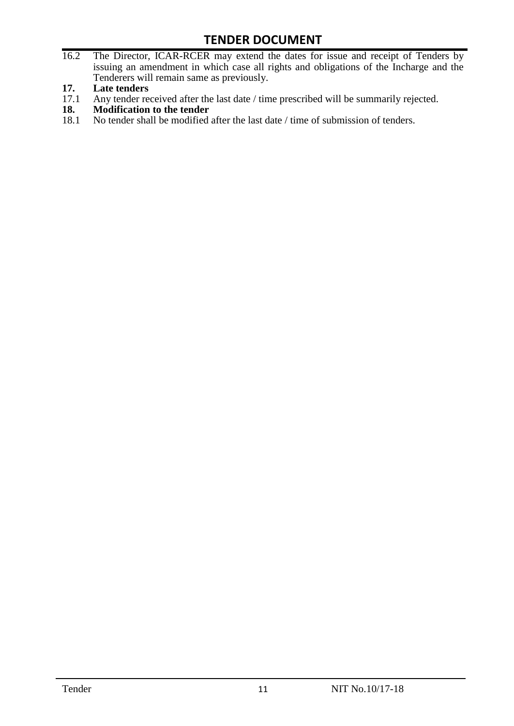- 16.2 The Director, ICAR-RCER may extend the dates for issue and receipt of Tenders by issuing an amendment in which case all rights and obligations of the Incharge and the Tenderers will remain same as previously.
- **17. Late tenders**
- 17.1 Any tender received after the last date / time prescribed will be summarily rejected.<br>18. Modification to the tender
- **18. Modification to the tender**<br>18.1 No tender shall be modified
- No tender shall be modified after the last date / time of submission of tenders.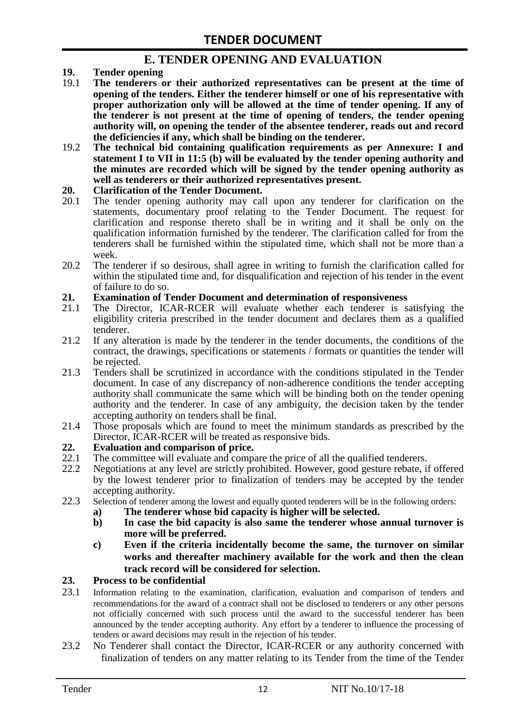### **E. TENDER OPENING AND EVALUATION**

- **19. Tender opening**
- 19.1 **The tenderers or their authorized representatives can be present at the time of opening of the tenders. Either the tenderer himself or one of his representative with proper authorization only will be allowed at the time of tender opening. If any of the tenderer is not present at the time of opening of tenders, the tender opening authority will, on opening the tender of the absentee tenderer, reads out and record the deficiencies if any, which shall be binding on the tenderer.**
- 19.2 **The technical bid containing qualification requirements as per Annexure: I and statement I to VII in 11:5 (b) will be evaluated by the tender opening authority and the minutes are recorded which will be signed by the tender opening authority as well as tenderers or their authorized representatives present.**

#### **20. Clarification of the Tender Document.**

- 20.1 The tender opening authority may call upon any tenderer for clarification on the statements, documentary proof relating to the Tender Document. The request for clarification and response thereto shall be in writing and it shall be only on the qualification information furnished by the tenderer. The clarification called for from the tenderers shall be furnished within the stipulated time, which shall not be more than a week.
- 20.2 The tenderer if so desirous, shall agree in writing to furnish the clarification called for within the stipulated time and, for disqualification and rejection of his tender in the event of failure to do so.

# **21. Examination of Tender Document and determination of responsiveness**

- 21.1 The Director, ICAR-RCER will evaluate whether each tenderer is satisfying the eligibility criteria prescribed in the tender document and declares them as a qualified tenderer.
- 21.2 If any alteration is made by the tenderer in the tender documents, the conditions of the contract, the drawings, specifications or statements / formats or quantities the tender will be rejected.
- 21.3 Tenders shall be scrutinized in accordance with the conditions stipulated in the Tender document. In case of any discrepancy of non-adherence conditions the tender accepting authority shall communicate the same which will be binding both on the tender opening authority and the tenderer. In case of any ambiguity, the decision taken by the tender accepting authority on tenders shall be final.
- 21.4 Those proposals which are found to meet the minimum standards as prescribed by the Director, ICAR-RCER will be treated as responsive bids.

# **22. Evaluation and comparison of price.**

- The committee will evaluate and compare the price of all the qualified tenderers.
- 22.2 Negotiations at any level are strictly prohibited. However, good gesture rebate, if offered by the lowest tenderer prior to finalization of tenders may be accepted by the tender accepting authority.
- 22.3 Selection of tenderer among the lowest and equally quoted tenderers will be in the following orders:
	- **a) The tenderer whose bid capacity is higher will be selected.**
	- **b) In case the bid capacity is also same the tenderer whose annual turnover is more will be preferred.**
	- **c) Even if the criteria incidentally become the same, the turnover on similar works and thereafter machinery available for the work and then the clean track record will be considered for selection.**

#### **23. Process to be confidential**

- 23.1 Information relating to the examination, clarification, evaluation and comparison of tenders and recommendations for the award of a contract shall not be disclosed to tenderers or any other persons not officially concerned with such process until the award to the successful tenderer has been announced by the tender accepting authority. Any effort by a tenderer to influence the processing of tenders or award decisions may result in the rejection of his tender.
- 23.2 No Tenderer shall contact the Director, ICAR-RCER or any authority concerned with finalization of tenders on any matter relating to its Tender from the time of the Tender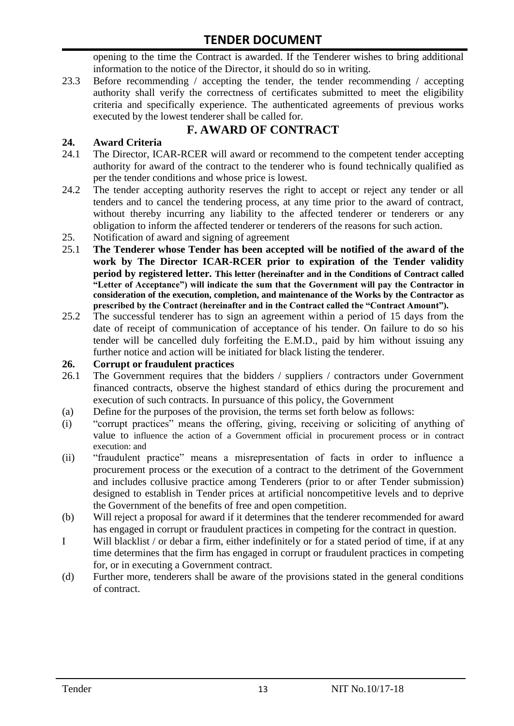opening to the time the Contract is awarded. If the Tenderer wishes to bring additional information to the notice of the Director, it should do so in writing.

23.3 Before recommending / accepting the tender, the tender recommending / accepting authority shall verify the correctness of certificates submitted to meet the eligibility criteria and specifically experience. The authenticated agreements of previous works executed by the lowest tenderer shall be called for.

# **F. AWARD OF CONTRACT**

#### **24. Award Criteria**

- 24.1 The Director, ICAR-RCER will award or recommend to the competent tender accepting authority for award of the contract to the tenderer who is found technically qualified as per the tender conditions and whose price is lowest.
- 24.2 The tender accepting authority reserves the right to accept or reject any tender or all tenders and to cancel the tendering process, at any time prior to the award of contract, without thereby incurring any liability to the affected tenderer or tenderers or any obligation to inform the affected tenderer or tenderers of the reasons for such action.
- 25. Notification of award and signing of agreement
- 25.1 **The Tenderer whose Tender has been accepted will be notified of the award of the work by The Director ICAR-RCER prior to expiration of the Tender validity period by registered letter. This letter (hereinafter and in the Conditions of Contract called "Letter of Acceptance") will indicate the sum that the Government will pay the Contractor in consideration of the execution, completion, and maintenance of the Works by the Contractor as prescribed by the Contract (hereinafter and in the Contract called the "Contract Amount").**
- 25.2 The successful tenderer has to sign an agreement within a period of 15 days from the date of receipt of communication of acceptance of his tender. On failure to do so his tender will be cancelled duly forfeiting the E.M.D., paid by him without issuing any further notice and action will be initiated for black listing the tenderer.

#### **26. Corrupt or fraudulent practices**

- 26.1 The Government requires that the bidders / suppliers / contractors under Government financed contracts, observe the highest standard of ethics during the procurement and execution of such contracts. In pursuance of this policy, the Government
- (a) Define for the purposes of the provision, the terms set forth below as follows:
- (i) "corrupt practices" means the offering, giving, receiving or soliciting of anything of value to influence the action of a Government official in procurement process or in contract execution: and
- (ii) "fraudulent practice" means a misrepresentation of facts in order to influence a procurement process or the execution of a contract to the detriment of the Government and includes collusive practice among Tenderers (prior to or after Tender submission) designed to establish in Tender prices at artificial noncompetitive levels and to deprive the Government of the benefits of free and open competition.
- (b) Will reject a proposal for award if it determines that the tenderer recommended for award has engaged in corrupt or fraudulent practices in competing for the contract in question.
- I Will blacklist / or debar a firm, either indefinitely or for a stated period of time, if at any time determines that the firm has engaged in corrupt or fraudulent practices in competing for, or in executing a Government contract.
- (d) Further more, tenderers shall be aware of the provisions stated in the general conditions of contract.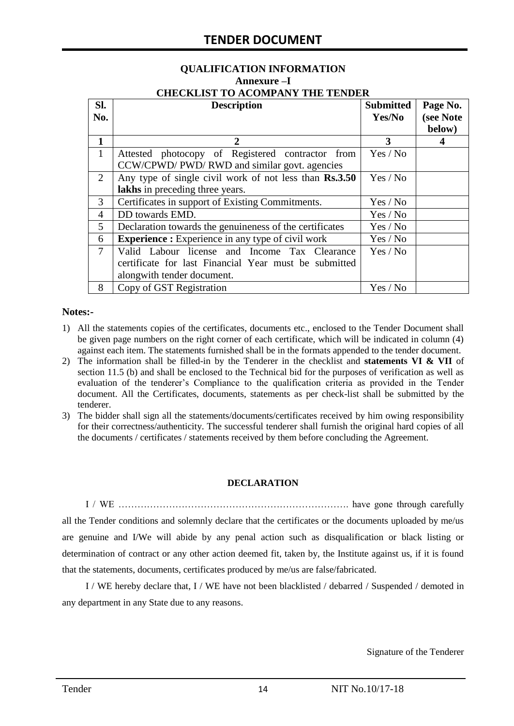#### **QUALIFICATION INFORMATION Annexure –I CHECKLIST TO ACOMPANY THE TENDER**

| Sl.            | <b>Description</b>                                       | <b>Submitted</b> | Page No.  |
|----------------|----------------------------------------------------------|------------------|-----------|
| No.            |                                                          | Yes/No           | (see Note |
|                |                                                          |                  | below)    |
| 1              | 2                                                        | 3                |           |
| $\mathbf{1}$   | Attested photocopy of Registered contractor from         | Yes / No         |           |
|                | CCW/CPWD/ PWD/ RWD and similar govt. agencies            |                  |           |
| 2              | Any type of single civil work of not less than Rs.3.50   | Yes / No         |           |
|                | lakhs in preceding three years.                          |                  |           |
| 3              | Certificates in support of Existing Commitments.         | Yes / No         |           |
| 4              | DD towards EMD.                                          | Yes / No         |           |
| 5              | Declaration towards the genuineness of the certificates  | Yes / No         |           |
| 6              | <b>Experience :</b> Experience in any type of civil work | Yes / No         |           |
| $\overline{7}$ | Valid Labour license and Income Tax Clearance            | Yes / No         |           |
|                | certificate for last Financial Year must be submitted    |                  |           |
|                | alongwith tender document.                               |                  |           |
| 8              | Copy of GST Registration                                 | Yes / No         |           |

#### **Notes:-**

- 1) All the statements copies of the certificates, documents etc., enclosed to the Tender Document shall be given page numbers on the right corner of each certificate, which will be indicated in column (4) against each item. The statements furnished shall be in the formats appended to the tender document.
- 2) The information shall be filled-in by the Tenderer in the checklist and **statements VI & VII** of section 11.5 (b) and shall be enclosed to the Technical bid for the purposes of verification as well as evaluation of the tenderer's Compliance to the qualification criteria as provided in the Tender document. All the Certificates, documents, statements as per check-list shall be submitted by the tenderer.
- 3) The bidder shall sign all the statements/documents/certificates received by him owing responsibility for their correctness/authenticity. The successful tenderer shall furnish the original hard copies of all the documents / certificates / statements received by them before concluding the Agreement.

#### **DECLARATION**

I / WE ………………………………………………………………. have gone through carefully all the Tender conditions and solemnly declare that the certificates or the documents uploaded by me/us are genuine and I/We will abide by any penal action such as disqualification or black listing or determination of contract or any other action deemed fit, taken by, the Institute against us, if it is found that the statements, documents, certificates produced by me/us are false/fabricated.

I / WE hereby declare that, I / WE have not been blacklisted / debarred / Suspended / demoted in any department in any State due to any reasons.

Signature of the Tenderer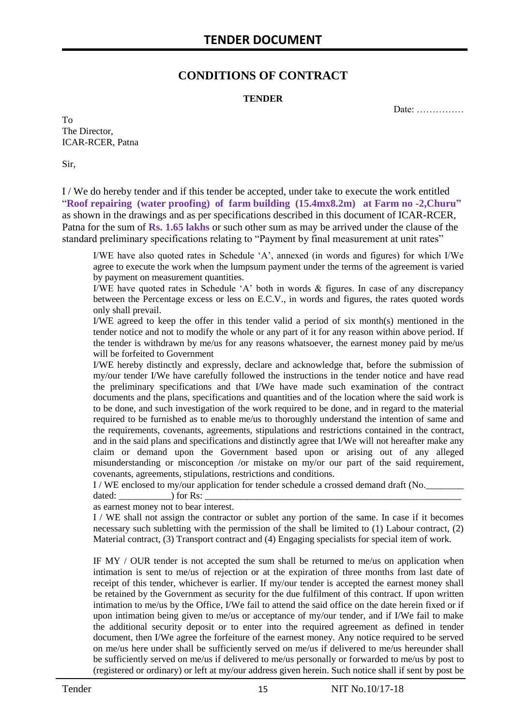### **CONDITIONS OF CONTRACT**

#### **TENDER**

Date: ……………

To The Director, ICAR-RCER, Patna

Sir,

I / We do hereby tender and if this tender be accepted, under take to execute the work entitled "**Roof repairing (water proofing) of farm building (15.4mx8.2m) at Farm no -2,Churu"**  as shown in the drawings and as per specifications described in this document of ICAR-RCER, Patna for the sum of **Rs. 1.65 lakhs** or such other sum as may be arrived under the clause of the standard preliminary specifications relating to "Payment by final measurement at unit rates"

I/WE have also quoted rates in Schedule 'A', annexed (in words and figures) for which I/We agree to execute the work when the lumpsum payment under the terms of the agreement is varied by payment on measurement quantities.

I/WE have quoted rates in Schedule 'A' both in words & figures. In case of any discrepancy between the Percentage excess or less on E.C.V., in words and figures, the rates quoted words only shall prevail.

I/WE agreed to keep the offer in this tender valid a period of six month(s) mentioned in the tender notice and not to modify the whole or any part of it for any reason within above period. If the tender is withdrawn by me/us for any reasons whatsoever, the earnest money paid by me/us will be forfeited to Government

I/WE hereby distinctly and expressly, declare and acknowledge that, before the submission of my/our tender I/We have carefully followed the instructions in the tender notice and have read the preliminary specifications and that I/We have made such examination of the contract documents and the plans, specifications and quantities and of the location where the said work is to be done, and such investigation of the work required to be done, and in regard to the material required to be furnished as to enable me/us to thoroughly understand the intention of same and the requirements, covenants, agreements, stipulations and restrictions contained in the contract, and in the said plans and specifications and distinctly agree that I/We will not hereafter make any claim or demand upon the Government based upon or arising out of any alleged misunderstanding or misconception /or mistake on my/or our part of the said requirement, covenants, agreements, stipulations, restrictions and conditions.

I / WE enclosed to my/our application for tender schedule a crossed demand draft (No.

dated: \_\_\_\_\_\_\_\_\_\_\_) for Rs: \_\_\_\_\_\_\_\_\_\_\_\_\_\_\_\_\_\_\_\_\_\_\_\_\_\_\_\_\_\_\_\_\_\_\_\_\_\_\_\_\_\_\_\_\_\_\_\_\_\_\_\_\_\_

as earnest money not to bear interest.

I / WE shall not assign the contractor or sublet any portion of the same. In case if it becomes necessary such subletting with the permission of the shall be limited to (1) Labour contract, (2) Material contract, (3) Transport contract and (4) Engaging specialists for special item of work.

IF MY / OUR tender is not accepted the sum shall be returned to me/us on application when intimation is sent to me/us of rejection or at the expiration of three months from last date of receipt of this tender, whichever is earlier. If my/our tender is accepted the earnest money shall be retained by the Government as security for the due fulfilment of this contract. If upon written intimation to me/us by the Office, I/We fail to attend the said office on the date herein fixed or if upon intimation being given to me/us or acceptance of my/our tender, and if I/We fail to make the additional security deposit or to enter into the required agreement as defined in tender document, then I/We agree the forfeiture of the earnest money. Any notice required to be served on me/us here under shall be sufficiently served on me/us if delivered to me/us hereunder shall be sufficiently served on me/us if delivered to me/us personally or forwarded to me/us by post to (registered or ordinary) or left at my/our address given herein. Such notice shall if sent by post be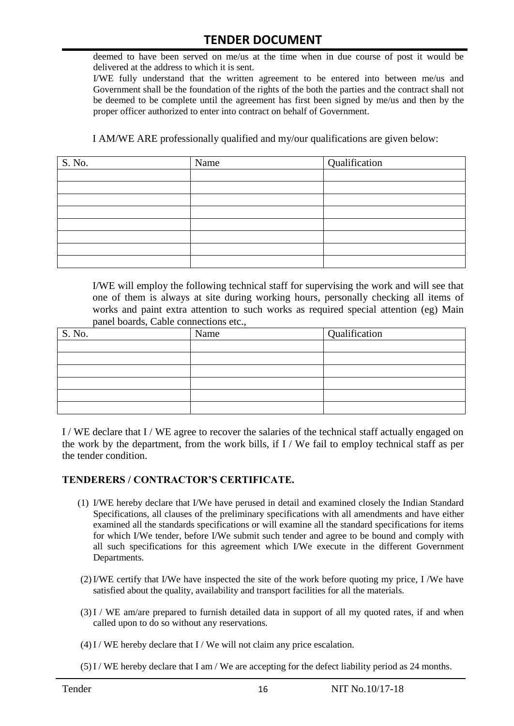deemed to have been served on me/us at the time when in due course of post it would be delivered at the address to which it is sent.

I/WE fully understand that the written agreement to be entered into between me/us and Government shall be the foundation of the rights of the both the parties and the contract shall not be deemed to be complete until the agreement has first been signed by me/us and then by the proper officer authorized to enter into contract on behalf of Government.

I AM/WE ARE professionally qualified and my/our qualifications are given below:

| S. No. | Name | Qualification |
|--------|------|---------------|
|        |      |               |
|        |      |               |
|        |      |               |
|        |      |               |
|        |      |               |
|        |      |               |
|        |      |               |
|        |      |               |

I/WE will employ the following technical staff for supervising the work and will see that one of them is always at site during working hours, personally checking all items of works and paint extra attention to such works as required special attention (eg) Main panel boards, Cable connections etc.,

| S. No. | Name | Qualification |
|--------|------|---------------|
|        |      |               |
|        |      |               |
|        |      |               |
|        |      |               |
|        |      |               |
|        |      |               |

I / WE declare that I / WE agree to recover the salaries of the technical staff actually engaged on the work by the department, from the work bills, if I / We fail to employ technical staff as per the tender condition.

#### **TENDERERS / CONTRACTOR'S CERTIFICATE.**

- (1) I/WE hereby declare that I/We have perused in detail and examined closely the Indian Standard Specifications, all clauses of the preliminary specifications with all amendments and have either examined all the standards specifications or will examine all the standard specifications for items for which I/We tender, before I/We submit such tender and agree to be bound and comply with all such specifications for this agreement which I/We execute in the different Government Departments.
- (2)I/WE certify that I/We have inspected the site of the work before quoting my price, I /We have satisfied about the quality, availability and transport facilities for all the materials.
- (3)I / WE am/are prepared to furnish detailed data in support of all my quoted rates, if and when called upon to do so without any reservations.
- $(4)$  I / WE hereby declare that I / We will not claim any price escalation.
- (5)I / WE hereby declare that I am / We are accepting for the defect liability period as 24 months.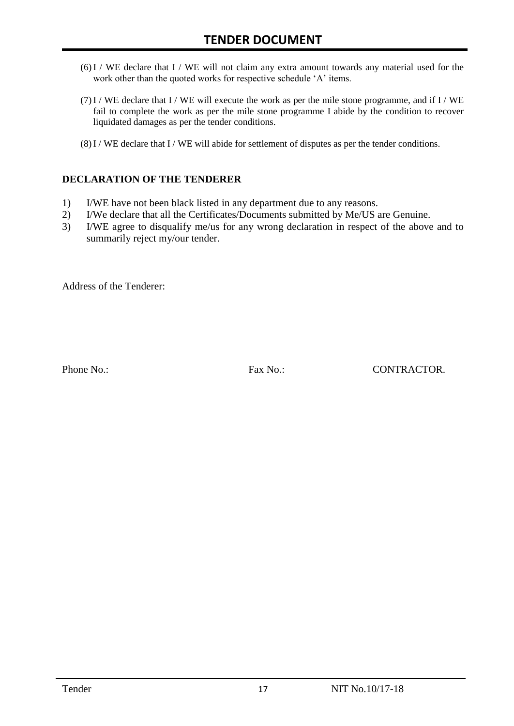- (6)I / WE declare that I / WE will not claim any extra amount towards any material used for the work other than the quoted works for respective schedule 'A' items.
- $(7)$  I / WE declare that I / WE will execute the work as per the mile stone programme, and if I / WE fail to complete the work as per the mile stone programme I abide by the condition to recover liquidated damages as per the tender conditions.
- (8)I / WE declare that I / WE will abide for settlement of disputes as per the tender conditions.

#### **DECLARATION OF THE TENDERER**

- 1) I/WE have not been black listed in any department due to any reasons.
- 2) I/We declare that all the Certificates/Documents submitted by Me/US are Genuine.
- 3) I/WE agree to disqualify me/us for any wrong declaration in respect of the above and to summarily reject my/our tender.

Address of the Tenderer:

Phone No.: Fax No.: Fax No.: CONTRACTOR.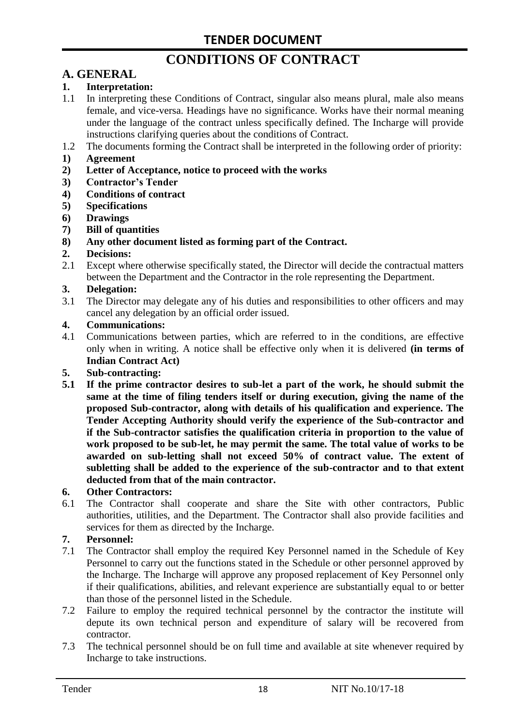# **CONDITIONS OF CONTRACT**

# **A. GENERAL**

#### **1. Interpretation:**

- 1.1 In interpreting these Conditions of Contract, singular also means plural, male also means female, and vice-versa. Headings have no significance. Works have their normal meaning under the language of the contract unless specifically defined. The Incharge will provide instructions clarifying queries about the conditions of Contract.
- 1.2 The documents forming the Contract shall be interpreted in the following order of priority:
- **1) Agreement**
- **2) Letter of Acceptance, notice to proceed with the works**
- **3) Contractor's Tender**
- **4) Conditions of contract**
- **5) Specifications**
- **6) Drawings**
- **7) Bill of quantities**
- **8) Any other document listed as forming part of the Contract.**

#### **2. Decisions:**

2.1 Except where otherwise specifically stated, the Director will decide the contractual matters between the Department and the Contractor in the role representing the Department.

#### **3. Delegation:**

3.1 The Director may delegate any of his duties and responsibilities to other officers and may cancel any delegation by an official order issued.

#### **4. Communications:**

4.1 Communications between parties, which are referred to in the conditions, are effective only when in writing. A notice shall be effective only when it is delivered **(in terms of Indian Contract Act)**

#### **5. Sub-contracting:**

**5.1 If the prime contractor desires to sub-let a part of the work, he should submit the same at the time of filing tenders itself or during execution, giving the name of the proposed Sub-contractor, along with details of his qualification and experience. The Tender Accepting Authority should verify the experience of the Sub-contractor and if the Sub-contractor satisfies the qualification criteria in proportion to the value of work proposed to be sub-let, he may permit the same. The total value of works to be awarded on sub-letting shall not exceed 50% of contract value. The extent of subletting shall be added to the experience of the sub-contractor and to that extent deducted from that of the main contractor.**

#### **6. Other Contractors:**

6.1 The Contractor shall cooperate and share the Site with other contractors, Public authorities, utilities, and the Department. The Contractor shall also provide facilities and services for them as directed by the Incharge.

#### **7. Personnel:**

- 7.1 The Contractor shall employ the required Key Personnel named in the Schedule of Key Personnel to carry out the functions stated in the Schedule or other personnel approved by the Incharge. The Incharge will approve any proposed replacement of Key Personnel only if their qualifications, abilities, and relevant experience are substantially equal to or better than those of the personnel listed in the Schedule.
- 7.2 Failure to employ the required technical personnel by the contractor the institute will depute its own technical person and expenditure of salary will be recovered from contractor.
- 7.3 The technical personnel should be on full time and available at site whenever required by Incharge to take instructions.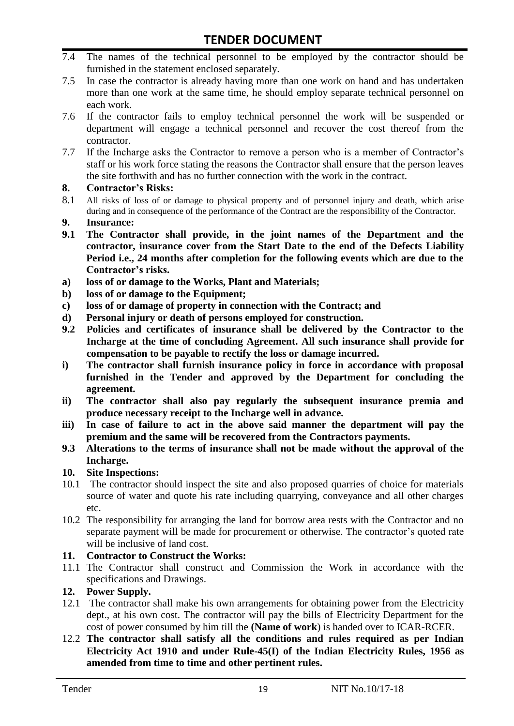- 7.4 The names of the technical personnel to be employed by the contractor should be furnished in the statement enclosed separately.
- 7.5 In case the contractor is already having more than one work on hand and has undertaken more than one work at the same time, he should employ separate technical personnel on each work.
- 7.6 If the contractor fails to employ technical personnel the work will be suspended or department will engage a technical personnel and recover the cost thereof from the contractor.
- 7.7 If the Incharge asks the Contractor to remove a person who is a member of Contractor's staff or his work force stating the reasons the Contractor shall ensure that the person leaves the site forthwith and has no further connection with the work in the contract.

#### **8. Contractor's Risks:**

- 8.1 All risks of loss of or damage to physical property and of personnel injury and death, which arise during and in consequence of the performance of the Contract are the responsibility of the Contractor.
- **9. Insurance:**
- **9.1 The Contractor shall provide, in the joint names of the Department and the contractor, insurance cover from the Start Date to the end of the Defects Liability Period i.e., 24 months after completion for the following events which are due to the Contractor's risks.**
- **a) loss of or damage to the Works, Plant and Materials;**
- **b) loss of or damage to the Equipment;**
- **c) loss of or damage of property in connection with the Contract; and**
- **d) Personal injury or death of persons employed for construction.**
- **9.2 Policies and certificates of insurance shall be delivered by the Contractor to the Incharge at the time of concluding Agreement. All such insurance shall provide for compensation to be payable to rectify the loss or damage incurred.**
- **i) The contractor shall furnish insurance policy in force in accordance with proposal furnished in the Tender and approved by the Department for concluding the agreement.**
- **ii) The contractor shall also pay regularly the subsequent insurance premia and produce necessary receipt to the Incharge well in advance.**
- **iii) In case of failure to act in the above said manner the department will pay the premium and the same will be recovered from the Contractors payments.**
- **9.3 Alterations to the terms of insurance shall not be made without the approval of the Incharge.**

#### **10. Site Inspections:**

- 10.1 The contractor should inspect the site and also proposed quarries of choice for materials source of water and quote his rate including quarrying, conveyance and all other charges etc.
- 10.2 The responsibility for arranging the land for borrow area rests with the Contractor and no separate payment will be made for procurement or otherwise. The contractor's quoted rate will be inclusive of land cost.

#### **11. Contractor to Construct the Works:**

11.1 The Contractor shall construct and Commission the Work in accordance with the specifications and Drawings.

#### **12. Power Supply.**

- 12.1 The contractor shall make his own arrangements for obtaining power from the Electricity dept., at his own cost. The contractor will pay the bills of Electricity Department for the cost of power consumed by him till the **(Name of work**) is handed over to ICAR-RCER.
- 12.2 **The contractor shall satisfy all the conditions and rules required as per Indian Electricity Act 1910 and under Rule-45(I) of the Indian Electricity Rules, 1956 as amended from time to time and other pertinent rules.**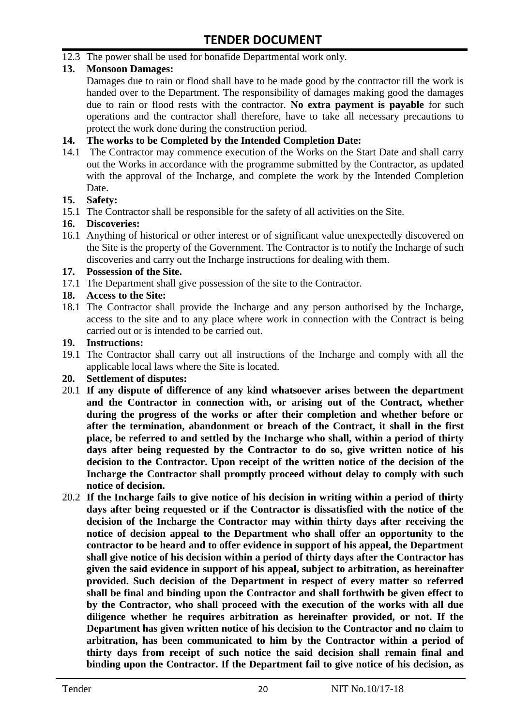12.3 The power shall be used for bonafide Departmental work only.

#### **13. Monsoon Damages:**

Damages due to rain or flood shall have to be made good by the contractor till the work is handed over to the Department. The responsibility of damages making good the damages due to rain or flood rests with the contractor. **No extra payment is payable** for such operations and the contractor shall therefore, have to take all necessary precautions to protect the work done during the construction period.

#### **14. The works to be Completed by the Intended Completion Date:**

14.1 The Contractor may commence execution of the Works on the Start Date and shall carry out the Works in accordance with the programme submitted by the Contractor, as updated with the approval of the Incharge, and complete the work by the Intended Completion Date.

#### **15. Safety:**

15.1 The Contractor shall be responsible for the safety of all activities on the Site.

#### **16. Discoveries:**

16.1 Anything of historical or other interest or of significant value unexpectedly discovered on the Site is the property of the Government. The Contractor is to notify the Incharge of such discoveries and carry out the Incharge instructions for dealing with them.

#### **17. Possession of the Site.**

17.1 The Department shall give possession of the site to the Contractor.

#### **18. Access to the Site:**

18.1 The Contractor shall provide the Incharge and any person authorised by the Incharge, access to the site and to any place where work in connection with the Contract is being carried out or is intended to be carried out.

#### **19. Instructions:**

- 19.1 The Contractor shall carry out all instructions of the Incharge and comply with all the applicable local laws where the Site is located.
- **20. Settlement of disputes:**
- 20.1 **If any dispute of difference of any kind whatsoever arises between the department and the Contractor in connection with, or arising out of the Contract, whether during the progress of the works or after their completion and whether before or after the termination, abandonment or breach of the Contract, it shall in the first place, be referred to and settled by the Incharge who shall, within a period of thirty days after being requested by the Contractor to do so, give written notice of his decision to the Contractor. Upon receipt of the written notice of the decision of the Incharge the Contractor shall promptly proceed without delay to comply with such notice of decision.**
- 20.2 **If the Incharge fails to give notice of his decision in writing within a period of thirty days after being requested or if the Contractor is dissatisfied with the notice of the decision of the Incharge the Contractor may within thirty days after receiving the notice of decision appeal to the Department who shall offer an opportunity to the contractor to be heard and to offer evidence in support of his appeal, the Department shall give notice of his decision within a period of thirty days after the Contractor has given the said evidence in support of his appeal, subject to arbitration, as hereinafter provided. Such decision of the Department in respect of every matter so referred shall be final and binding upon the Contractor and shall forthwith be given effect to by the Contractor, who shall proceed with the execution of the works with all due diligence whether he requires arbitration as hereinafter provided, or not. If the Department has given written notice of his decision to the Contractor and no claim to arbitration, has been communicated to him by the Contractor within a period of thirty days from receipt of such notice the said decision shall remain final and binding upon the Contractor. If the Department fail to give notice of his decision, as**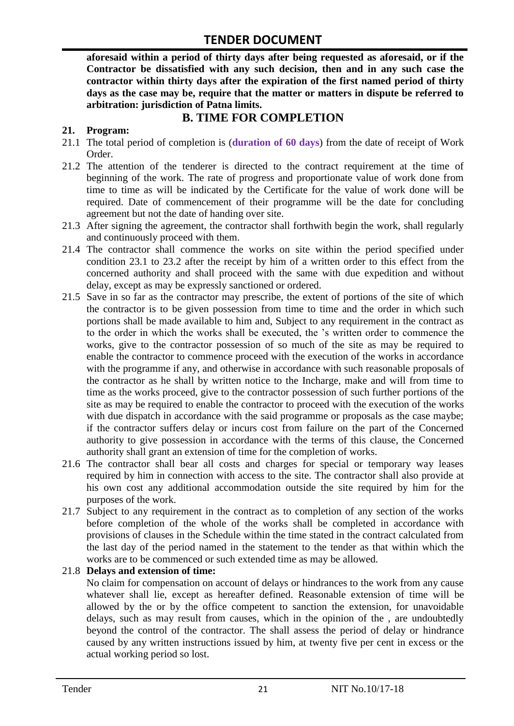**aforesaid within a period of thirty days after being requested as aforesaid, or if the Contractor be dissatisfied with any such decision, then and in any such case the contractor within thirty days after the expiration of the first named period of thirty days as the case may be, require that the matter or matters in dispute be referred to arbitration: jurisdiction of Patna limits.**

# **B. TIME FOR COMPLETION**

#### **21. Program:**

- 21.1 The total period of completion is (**duration of 60 days**) from the date of receipt of Work Order.
- 21.2 The attention of the tenderer is directed to the contract requirement at the time of beginning of the work. The rate of progress and proportionate value of work done from time to time as will be indicated by the Certificate for the value of work done will be required. Date of commencement of their programme will be the date for concluding agreement but not the date of handing over site.
- 21.3 After signing the agreement, the contractor shall forthwith begin the work, shall regularly and continuously proceed with them.
- 21.4 The contractor shall commence the works on site within the period specified under condition 23.1 to 23.2 after the receipt by him of a written order to this effect from the concerned authority and shall proceed with the same with due expedition and without delay, except as may be expressly sanctioned or ordered.
- 21.5 Save in so far as the contractor may prescribe, the extent of portions of the site of which the contractor is to be given possession from time to time and the order in which such portions shall be made available to him and, Subject to any requirement in the contract as to the order in which the works shall be executed, the 's written order to commence the works, give to the contractor possession of so much of the site as may be required to enable the contractor to commence proceed with the execution of the works in accordance with the programme if any, and otherwise in accordance with such reasonable proposals of the contractor as he shall by written notice to the Incharge, make and will from time to time as the works proceed, give to the contractor possession of such further portions of the site as may be required to enable the contractor to proceed with the execution of the works with due dispatch in accordance with the said programme or proposals as the case maybe; if the contractor suffers delay or incurs cost from failure on the part of the Concerned authority to give possession in accordance with the terms of this clause, the Concerned authority shall grant an extension of time for the completion of works.
- 21.6 The contractor shall bear all costs and charges for special or temporary way leases required by him in connection with access to the site. The contractor shall also provide at his own cost any additional accommodation outside the site required by him for the purposes of the work.
- 21.7 Subject to any requirement in the contract as to completion of any section of the works before completion of the whole of the works shall be completed in accordance with provisions of clauses in the Schedule within the time stated in the contract calculated from the last day of the period named in the statement to the tender as that within which the works are to be commenced or such extended time as may be allowed.

#### 21.8 **Delays and extension of time:**

No claim for compensation on account of delays or hindrances to the work from any cause whatever shall lie, except as hereafter defined. Reasonable extension of time will be allowed by the or by the office competent to sanction the extension, for unavoidable delays, such as may result from causes, which in the opinion of the , are undoubtedly beyond the control of the contractor. The shall assess the period of delay or hindrance caused by any written instructions issued by him, at twenty five per cent in excess or the actual working period so lost.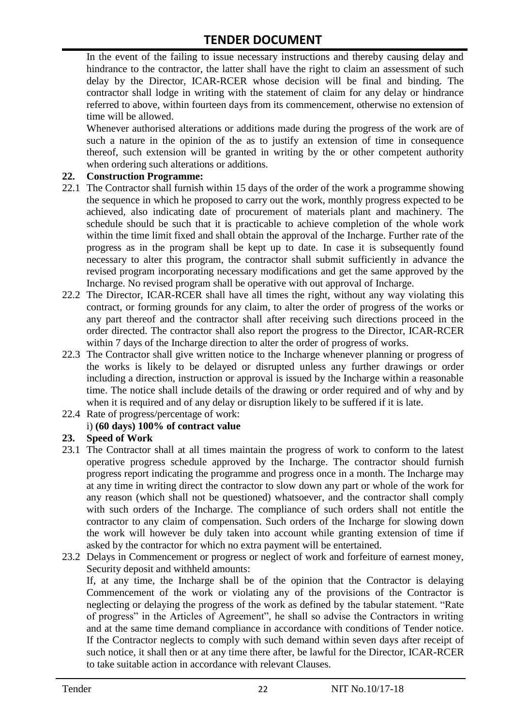In the event of the failing to issue necessary instructions and thereby causing delay and hindrance to the contractor, the latter shall have the right to claim an assessment of such delay by the Director, ICAR-RCER whose decision will be final and binding. The contractor shall lodge in writing with the statement of claim for any delay or hindrance referred to above, within fourteen days from its commencement, otherwise no extension of time will be allowed.

Whenever authorised alterations or additions made during the progress of the work are of such a nature in the opinion of the as to justify an extension of time in consequence thereof, such extension will be granted in writing by the or other competent authority when ordering such alterations or additions.

#### **22. Construction Programme:**

- 22.1 The Contractor shall furnish within 15 days of the order of the work a programme showing the sequence in which he proposed to carry out the work, monthly progress expected to be achieved, also indicating date of procurement of materials plant and machinery. The schedule should be such that it is practicable to achieve completion of the whole work within the time limit fixed and shall obtain the approval of the Incharge. Further rate of the progress as in the program shall be kept up to date. In case it is subsequently found necessary to alter this program, the contractor shall submit sufficiently in advance the revised program incorporating necessary modifications and get the same approved by the Incharge. No revised program shall be operative with out approval of Incharge.
- 22.2 The Director, ICAR-RCER shall have all times the right, without any way violating this contract, or forming grounds for any claim, to alter the order of progress of the works or any part thereof and the contractor shall after receiving such directions proceed in the order directed. The contractor shall also report the progress to the Director, ICAR-RCER within 7 days of the Incharge direction to alter the order of progress of works.
- 22.3 The Contractor shall give written notice to the Incharge whenever planning or progress of the works is likely to be delayed or disrupted unless any further drawings or order including a direction, instruction or approval is issued by the Incharge within a reasonable time. The notice shall include details of the drawing or order required and of why and by when it is required and of any delay or disruption likely to be suffered if it is late.
- 22.4 Rate of progress/percentage of work:

#### i) **(60 days) 100% of contract value**

#### **23. Speed of Work**

- 23.1 The Contractor shall at all times maintain the progress of work to conform to the latest operative progress schedule approved by the Incharge. The contractor should furnish progress report indicating the programme and progress once in a month. The Incharge may at any time in writing direct the contractor to slow down any part or whole of the work for any reason (which shall not be questioned) whatsoever, and the contractor shall comply with such orders of the Incharge. The compliance of such orders shall not entitle the contractor to any claim of compensation. Such orders of the Incharge for slowing down the work will however be duly taken into account while granting extension of time if asked by the contractor for which no extra payment will be entertained.
- 23.2 Delays in Commencement or progress or neglect of work and forfeiture of earnest money, Security deposit and withheld amounts:

If, at any time, the Incharge shall be of the opinion that the Contractor is delaying Commencement of the work or violating any of the provisions of the Contractor is neglecting or delaying the progress of the work as defined by the tabular statement. "Rate of progress" in the Articles of Agreement", he shall so advise the Contractors in writing and at the same time demand compliance in accordance with conditions of Tender notice. If the Contractor neglects to comply with such demand within seven days after receipt of such notice, it shall then or at any time there after, be lawful for the Director, ICAR-RCER to take suitable action in accordance with relevant Clauses.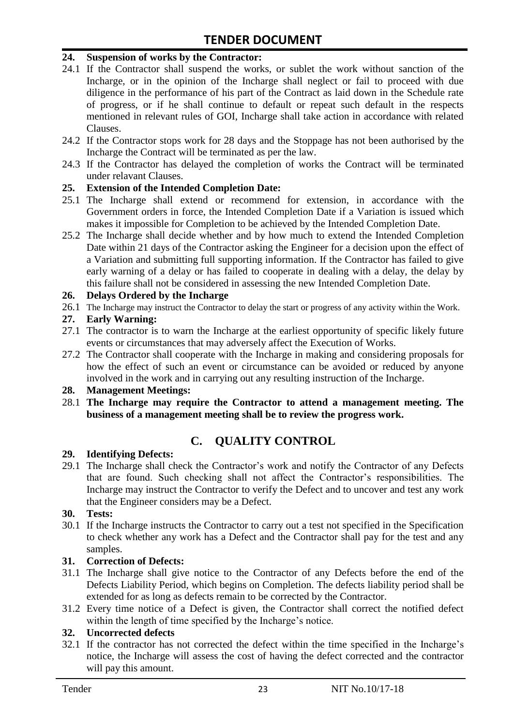#### **24. Suspension of works by the Contractor:**

- 24.1 If the Contractor shall suspend the works, or sublet the work without sanction of the Incharge, or in the opinion of the Incharge shall neglect or fail to proceed with due diligence in the performance of his part of the Contract as laid down in the Schedule rate of progress, or if he shall continue to default or repeat such default in the respects mentioned in relevant rules of GOI, Incharge shall take action in accordance with related Clauses.
- 24.2 If the Contractor stops work for 28 days and the Stoppage has not been authorised by the Incharge the Contract will be terminated as per the law.
- 24.3 If the Contractor has delayed the completion of works the Contract will be terminated under relavant Clauses.

#### **25. Extension of the Intended Completion Date:**

- 25.1 The Incharge shall extend or recommend for extension, in accordance with the Government orders in force, the Intended Completion Date if a Variation is issued which makes it impossible for Completion to be achieved by the Intended Completion Date.
- 25.2 The Incharge shall decide whether and by how much to extend the Intended Completion Date within 21 days of the Contractor asking the Engineer for a decision upon the effect of a Variation and submitting full supporting information. If the Contractor has failed to give early warning of a delay or has failed to cooperate in dealing with a delay, the delay by this failure shall not be considered in assessing the new Intended Completion Date.

#### **26. Delays Ordered by the Incharge**

26.1 The Incharge may instruct the Contractor to delay the start or progress of any activity within the Work.

#### **27. Early Warning:**

- 27.1 The contractor is to warn the Incharge at the earliest opportunity of specific likely future events or circumstances that may adversely affect the Execution of Works.
- 27.2 The Contractor shall cooperate with the Incharge in making and considering proposals for how the effect of such an event or circumstance can be avoided or reduced by anyone involved in the work and in carrying out any resulting instruction of the Incharge.

#### **28. Management Meetings:**

28.1 **The Incharge may require the Contractor to attend a management meeting. The business of a management meeting shall be to review the progress work.**

### **C. QUALITY CONTROL**

#### **29. Identifying Defects:**

29.1 The Incharge shall check the Contractor's work and notify the Contractor of any Defects that are found. Such checking shall not affect the Contractor's responsibilities. The Incharge may instruct the Contractor to verify the Defect and to uncover and test any work that the Engineer considers may be a Defect.

#### **30. Tests:**

30.1 If the Incharge instructs the Contractor to carry out a test not specified in the Specification to check whether any work has a Defect and the Contractor shall pay for the test and any samples.

#### **31. Correction of Defects:**

- 31.1 The Incharge shall give notice to the Contractor of any Defects before the end of the Defects Liability Period, which begins on Completion. The defects liability period shall be extended for as long as defects remain to be corrected by the Contractor.
- 31.2 Every time notice of a Defect is given, the Contractor shall correct the notified defect within the length of time specified by the Incharge's notice.

#### **32. Uncorrected defects**

32.1 If the contractor has not corrected the defect within the time specified in the Incharge's notice, the Incharge will assess the cost of having the defect corrected and the contractor will pay this amount.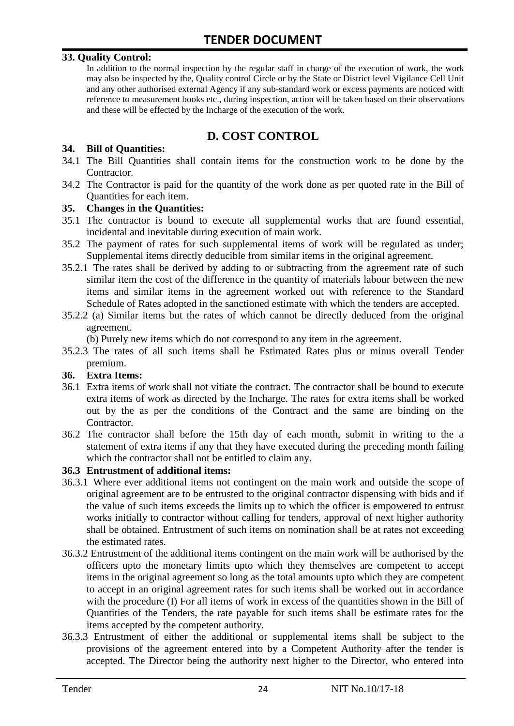#### **33. Quality Control:**

In addition to the normal inspection by the regular staff in charge of the execution of work, the work may also be inspected by the, Quality control Circle or by the State or District level Vigilance Cell Unit and any other authorised external Agency if any sub-standard work or excess payments are noticed with reference to measurement books etc., during inspection, action will be taken based on their observations and these will be effected by the Incharge of the execution of the work.

# **D. COST CONTROL**

#### **34. Bill of Quantities:**

- 34.1 The Bill Quantities shall contain items for the construction work to be done by the Contractor.
- 34.2 The Contractor is paid for the quantity of the work done as per quoted rate in the Bill of Quantities for each item.

#### **35. Changes in the Quantities:**

- 35.1 The contractor is bound to execute all supplemental works that are found essential, incidental and inevitable during execution of main work.
- 35.2 The payment of rates for such supplemental items of work will be regulated as under; Supplemental items directly deducible from similar items in the original agreement.
- 35.2.1 The rates shall be derived by adding to or subtracting from the agreement rate of such similar item the cost of the difference in the quantity of materials labour between the new items and similar items in the agreement worked out with reference to the Standard Schedule of Rates adopted in the sanctioned estimate with which the tenders are accepted.
- 35.2.2 (a) Similar items but the rates of which cannot be directly deduced from the original agreement.

(b) Purely new items which do not correspond to any item in the agreement.

35.2.3 The rates of all such items shall be Estimated Rates plus or minus overall Tender premium.

#### **36. Extra Items:**

- 36.1 Extra items of work shall not vitiate the contract. The contractor shall be bound to execute extra items of work as directed by the Incharge. The rates for extra items shall be worked out by the as per the conditions of the Contract and the same are binding on the Contractor.
- 36.2 The contractor shall before the 15th day of each month, submit in writing to the a statement of extra items if any that they have executed during the preceding month failing which the contractor shall not be entitled to claim any.

#### **36.3 Entrustment of additional items:**

- 36.3.1 Where ever additional items not contingent on the main work and outside the scope of original agreement are to be entrusted to the original contractor dispensing with bids and if the value of such items exceeds the limits up to which the officer is empowered to entrust works initially to contractor without calling for tenders, approval of next higher authority shall be obtained. Entrustment of such items on nomination shall be at rates not exceeding the estimated rates.
- 36.3.2 Entrustment of the additional items contingent on the main work will be authorised by the officers upto the monetary limits upto which they themselves are competent to accept items in the original agreement so long as the total amounts upto which they are competent to accept in an original agreement rates for such items shall be worked out in accordance with the procedure (I) For all items of work in excess of the quantities shown in the Bill of Quantities of the Tenders, the rate payable for such items shall be estimate rates for the items accepted by the competent authority.
- 36.3.3 Entrustment of either the additional or supplemental items shall be subject to the provisions of the agreement entered into by a Competent Authority after the tender is accepted. The Director being the authority next higher to the Director, who entered into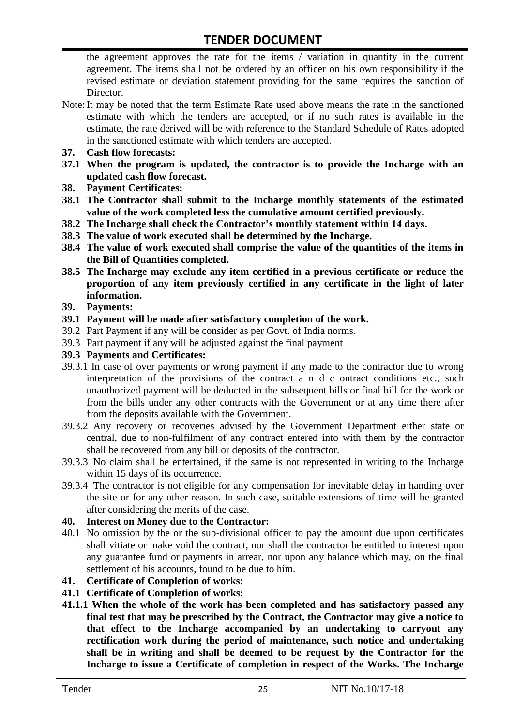the agreement approves the rate for the items / variation in quantity in the current agreement. The items shall not be ordered by an officer on his own responsibility if the revised estimate or deviation statement providing for the same requires the sanction of Director.

- Note:It may be noted that the term Estimate Rate used above means the rate in the sanctioned estimate with which the tenders are accepted, or if no such rates is available in the estimate, the rate derived will be with reference to the Standard Schedule of Rates adopted in the sanctioned estimate with which tenders are accepted.
- **37. Cash flow forecasts:**
- **37.1 When the program is updated, the contractor is to provide the Incharge with an updated cash flow forecast.**
- **38. Payment Certificates:**
- **38.1 The Contractor shall submit to the Incharge monthly statements of the estimated value of the work completed less the cumulative amount certified previously.**
- **38.2 The Incharge shall check the Contractor's monthly statement within 14 days.**
- **38.3 The value of work executed shall be determined by the Incharge.**
- **38.4 The value of work executed shall comprise the value of the quantities of the items in the Bill of Quantities completed.**
- **38.5 The Incharge may exclude any item certified in a previous certificate or reduce the proportion of any item previously certified in any certificate in the light of later information.**
- **39. Payments:**
- **39.1 Payment will be made after satisfactory completion of the work.**
- 39.2 Part Payment if any will be consider as per Govt. of India norms.
- 39.3 Part payment if any will be adjusted against the final payment
- **39.3 Payments and Certificates:**
- 39.3.1 In case of over payments or wrong payment if any made to the contractor due to wrong interpretation of the provisions of the contract a n d c ontract conditions etc., such unauthorized payment will be deducted in the subsequent bills or final bill for the work or from the bills under any other contracts with the Government or at any time there after from the deposits available with the Government.
- 39.3.2 Any recovery or recoveries advised by the Government Department either state or central, due to non-fulfilment of any contract entered into with them by the contractor shall be recovered from any bill or deposits of the contractor.
- 39.3.3 No claim shall be entertained, if the same is not represented in writing to the Incharge within 15 days of its occurrence.
- 39.3.4 The contractor is not eligible for any compensation for inevitable delay in handing over the site or for any other reason. In such case, suitable extensions of time will be granted after considering the merits of the case.

#### **40. Interest on Money due to the Contractor:**

- 40.1 No omission by the or the sub-divisional officer to pay the amount due upon certificates shall vitiate or make void the contract, nor shall the contractor be entitled to interest upon any guarantee fund or payments in arrear, nor upon any balance which may, on the final settlement of his accounts, found to be due to him.
- **41. Certificate of Completion of works:**
- **41.1 Certificate of Completion of works:**
- **41.1.1 When the whole of the work has been completed and has satisfactory passed any final test that may be prescribed by the Contract, the Contractor may give a notice to that effect to the Incharge accompanied by an undertaking to carryout any rectification work during the period of maintenance, such notice and undertaking shall be in writing and shall be deemed to be request by the Contractor for the Incharge to issue a Certificate of completion in respect of the Works. The Incharge**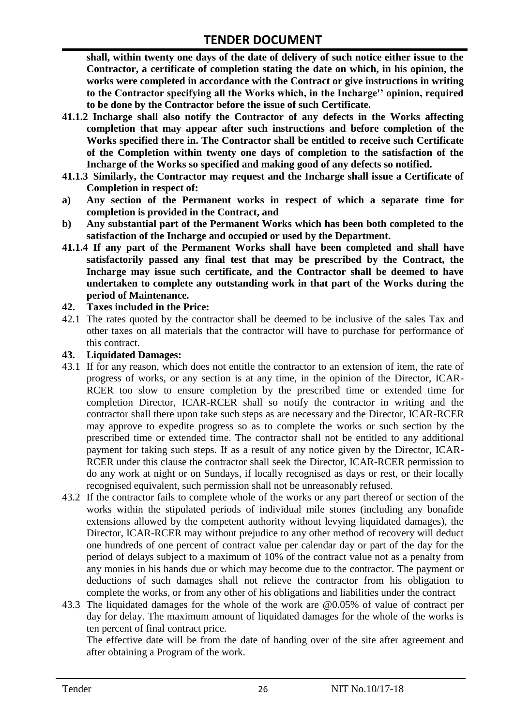**shall, within twenty one days of the date of delivery of such notice either issue to the Contractor, a certificate of completion stating the date on which, in his opinion, the works were completed in accordance with the Contract or give instructions in writing to the Contractor specifying all the Works which, in the Incharge'' opinion, required to be done by the Contractor before the issue of such Certificate.**

- **41.1.2 Incharge shall also notify the Contractor of any defects in the Works affecting completion that may appear after such instructions and before completion of the Works specified there in. The Contractor shall be entitled to receive such Certificate of the Completion within twenty one days of completion to the satisfaction of the Incharge of the Works so specified and making good of any defects so notified.**
- **41.1.3 Similarly, the Contractor may request and the Incharge shall issue a Certificate of Completion in respect of:**
- **a) Any section of the Permanent works in respect of which a separate time for completion is provided in the Contract, and**
- **b) Any substantial part of the Permanent Works which has been both completed to the satisfaction of the Incharge and occupied or used by the Department.**
- **41.1.4 If any part of the Permanent Works shall have been completed and shall have satisfactorily passed any final test that may be prescribed by the Contract, the Incharge may issue such certificate, and the Contractor shall be deemed to have undertaken to complete any outstanding work in that part of the Works during the period of Maintenance.**

#### **42. Taxes included in the Price:**

42.1 The rates quoted by the contractor shall be deemed to be inclusive of the sales Tax and other taxes on all materials that the contractor will have to purchase for performance of this contract.

#### **43. Liquidated Damages:**

- 43.1 If for any reason, which does not entitle the contractor to an extension of item, the rate of progress of works, or any section is at any time, in the opinion of the Director, ICAR-RCER too slow to ensure completion by the prescribed time or extended time for completion Director, ICAR-RCER shall so notify the contractor in writing and the contractor shall there upon take such steps as are necessary and the Director, ICAR-RCER may approve to expedite progress so as to complete the works or such section by the prescribed time or extended time. The contractor shall not be entitled to any additional payment for taking such steps. If as a result of any notice given by the Director, ICAR-RCER under this clause the contractor shall seek the Director, ICAR-RCER permission to do any work at night or on Sundays, if locally recognised as days or rest, or their locally recognised equivalent, such permission shall not be unreasonably refused.
- 43.2 If the contractor fails to complete whole of the works or any part thereof or section of the works within the stipulated periods of individual mile stones (including any bonafide extensions allowed by the competent authority without levying liquidated damages), the Director, ICAR-RCER may without prejudice to any other method of recovery will deduct one hundreds of one percent of contract value per calendar day or part of the day for the period of delays subject to a maximum of 10% of the contract value not as a penalty from any monies in his hands due or which may become due to the contractor. The payment or deductions of such damages shall not relieve the contractor from his obligation to complete the works, or from any other of his obligations and liabilities under the contract
- 43.3 The liquidated damages for the whole of the work are @0.05% of value of contract per day for delay. The maximum amount of liquidated damages for the whole of the works is ten percent of final contract price.

The effective date will be from the date of handing over of the site after agreement and after obtaining a Program of the work.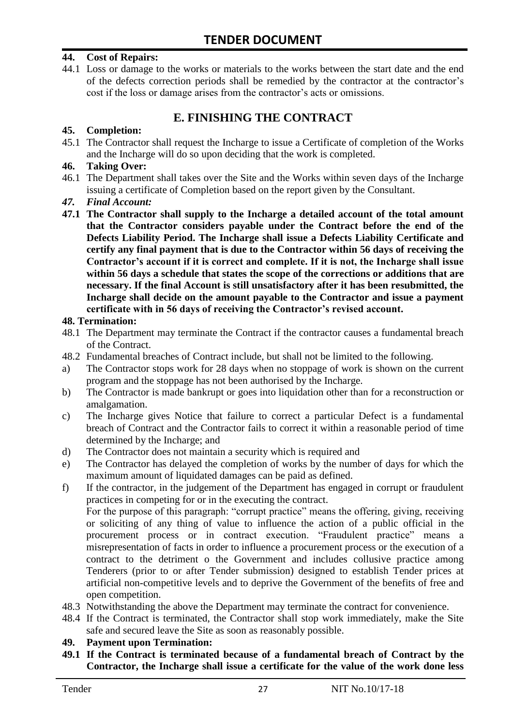#### **44. Cost of Repairs:**

44.1 Loss or damage to the works or materials to the works between the start date and the end of the defects correction periods shall be remedied by the contractor at the contractor's cost if the loss or damage arises from the contractor's acts or omissions.

# **E. FINISHING THE CONTRACT**

#### **45. Completion:**

45.1 The Contractor shall request the Incharge to issue a Certificate of completion of the Works and the Incharge will do so upon deciding that the work is completed.

#### **46. Taking Over:**

- 46.1 The Department shall takes over the Site and the Works within seven days of the Incharge issuing a certificate of Completion based on the report given by the Consultant.
- *47. Final Account:*
- **47.1 The Contractor shall supply to the Incharge a detailed account of the total amount that the Contractor considers payable under the Contract before the end of the Defects Liability Period. The Incharge shall issue a Defects Liability Certificate and certify any final payment that is due to the Contractor within 56 days of receiving the Contractor's account if it is correct and complete. If it is not, the Incharge shall issue within 56 days a schedule that states the scope of the corrections or additions that are necessary. If the final Account is still unsatisfactory after it has been resubmitted, the Incharge shall decide on the amount payable to the Contractor and issue a payment certificate with in 56 days of receiving the Contractor's revised account.**

#### **48. Termination:**

- 48.1 The Department may terminate the Contract if the contractor causes a fundamental breach of the Contract.
- 48.2 Fundamental breaches of Contract include, but shall not be limited to the following.
- a) The Contractor stops work for 28 days when no stoppage of work is shown on the current program and the stoppage has not been authorised by the Incharge.
- b) The Contractor is made bankrupt or goes into liquidation other than for a reconstruction or amalgamation.
- c) The Incharge gives Notice that failure to correct a particular Defect is a fundamental breach of Contract and the Contractor fails to correct it within a reasonable period of time determined by the Incharge; and
- d) The Contractor does not maintain a security which is required and
- e) The Contractor has delayed the completion of works by the number of days for which the maximum amount of liquidated damages can be paid as defined.
- f) If the contractor, in the judgement of the Department has engaged in corrupt or fraudulent practices in competing for or in the executing the contract.

For the purpose of this paragraph: "corrupt practice" means the offering, giving, receiving or soliciting of any thing of value to influence the action of a public official in the procurement process or in contract execution. "Fraudulent practice" means a misrepresentation of facts in order to influence a procurement process or the execution of a contract to the detriment o the Government and includes collusive practice among Tenderers (prior to or after Tender submission) designed to establish Tender prices at artificial non-competitive levels and to deprive the Government of the benefits of free and open competition.

- 48.3 Notwithstanding the above the Department may terminate the contract for convenience.
- 48.4 If the Contract is terminated, the Contractor shall stop work immediately, make the Site safe and secured leave the Site as soon as reasonably possible.

#### **49. Payment upon Termination:**

**49.1 If the Contract is terminated because of a fundamental breach of Contract by the Contractor, the Incharge shall issue a certificate for the value of the work done less**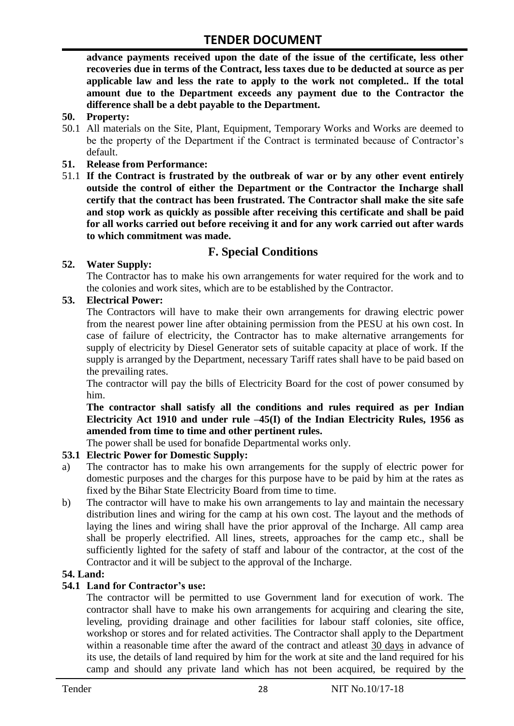**advance payments received upon the date of the issue of the certificate, less other recoveries due in terms of the Contract, less taxes due to be deducted at source as per applicable law and less the rate to apply to the work not completed.. If the total amount due to the Department exceeds any payment due to the Contractor the difference shall be a debt payable to the Department.**

- **50. Property:**
- 50.1 All materials on the Site, Plant, Equipment, Temporary Works and Works are deemed to be the property of the Department if the Contract is terminated because of Contractor's default.
- **51. Release from Performance:**
- 51.1 **If the Contract is frustrated by the outbreak of war or by any other event entirely outside the control of either the Department or the Contractor the Incharge shall certify that the contract has been frustrated. The Contractor shall make the site safe and stop work as quickly as possible after receiving this certificate and shall be paid for all works carried out before receiving it and for any work carried out after wards to which commitment was made.**

# **F. Special Conditions**

#### **52. Water Supply:**

The Contractor has to make his own arrangements for water required for the work and to the colonies and work sites, which are to be established by the Contractor.

#### **53. Electrical Power:**

The Contractors will have to make their own arrangements for drawing electric power from the nearest power line after obtaining permission from the PESU at his own cost. In case of failure of electricity, the Contractor has to make alternative arrangements for supply of electricity by Diesel Generator sets of suitable capacity at place of work. If the supply is arranged by the Department, necessary Tariff rates shall have to be paid based on the prevailing rates.

The contractor will pay the bills of Electricity Board for the cost of power consumed by him.

**The contractor shall satisfy all the conditions and rules required as per Indian Electricity Act 1910 and under rule –45(I) of the Indian Electricity Rules, 1956 as amended from time to time and other pertinent rules.**

The power shall be used for bonafide Departmental works only.

#### **53.1 Electric Power for Domestic Supply:**

- a) The contractor has to make his own arrangements for the supply of electric power for domestic purposes and the charges for this purpose have to be paid by him at the rates as fixed by the Bihar State Electricity Board from time to time.
- b) The contractor will have to make his own arrangements to lay and maintain the necessary distribution lines and wiring for the camp at his own cost. The layout and the methods of laying the lines and wiring shall have the prior approval of the Incharge. All camp area shall be properly electrified. All lines, streets, approaches for the camp etc., shall be sufficiently lighted for the safety of staff and labour of the contractor, at the cost of the Contractor and it will be subject to the approval of the Incharge.

#### **54. Land:**

#### **54.1 Land for Contractor's use:**

The contractor will be permitted to use Government land for execution of work. The contractor shall have to make his own arrangements for acquiring and clearing the site, leveling, providing drainage and other facilities for labour staff colonies, site office, workshop or stores and for related activities. The Contractor shall apply to the Department within a reasonable time after the award of the contract and atleast 30 days in advance of its use, the details of land required by him for the work at site and the land required for his camp and should any private land which has not been acquired, be required by the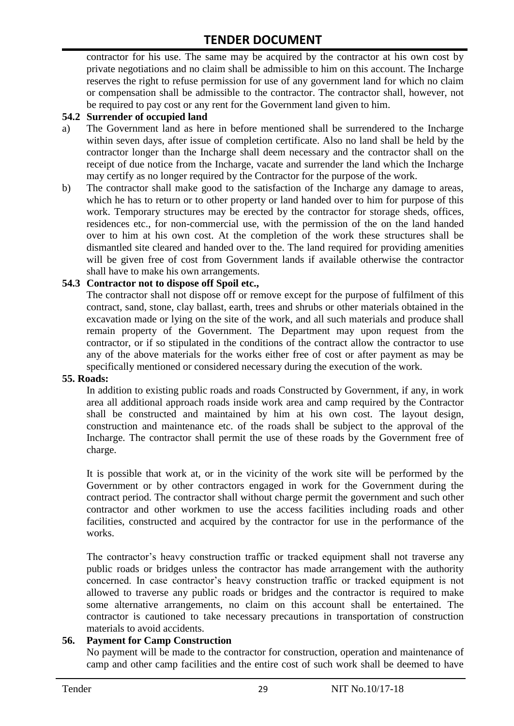contractor for his use. The same may be acquired by the contractor at his own cost by private negotiations and no claim shall be admissible to him on this account. The Incharge reserves the right to refuse permission for use of any government land for which no claim or compensation shall be admissible to the contractor. The contractor shall, however, not be required to pay cost or any rent for the Government land given to him.

#### **54.2 Surrender of occupied land**

- a) The Government land as here in before mentioned shall be surrendered to the Incharge within seven days, after issue of completion certificate. Also no land shall be held by the contractor longer than the Incharge shall deem necessary and the contractor shall on the receipt of due notice from the Incharge, vacate and surrender the land which the Incharge may certify as no longer required by the Contractor for the purpose of the work.
- b) The contractor shall make good to the satisfaction of the Incharge any damage to areas, which he has to return or to other property or land handed over to him for purpose of this work. Temporary structures may be erected by the contractor for storage sheds, offices, residences etc., for non-commercial use, with the permission of the on the land handed over to him at his own cost. At the completion of the work these structures shall be dismantled site cleared and handed over to the. The land required for providing amenities will be given free of cost from Government lands if available otherwise the contractor shall have to make his own arrangements.

#### **54.3 Contractor not to dispose off Spoil etc.,**

The contractor shall not dispose off or remove except for the purpose of fulfilment of this contract, sand, stone, clay ballast, earth, trees and shrubs or other materials obtained in the excavation made or lying on the site of the work, and all such materials and produce shall remain property of the Government. The Department may upon request from the contractor, or if so stipulated in the conditions of the contract allow the contractor to use any of the above materials for the works either free of cost or after payment as may be specifically mentioned or considered necessary during the execution of the work.

#### **55. Roads:**

In addition to existing public roads and roads Constructed by Government, if any, in work area all additional approach roads inside work area and camp required by the Contractor shall be constructed and maintained by him at his own cost. The layout design, construction and maintenance etc. of the roads shall be subject to the approval of the Incharge. The contractor shall permit the use of these roads by the Government free of charge.

It is possible that work at, or in the vicinity of the work site will be performed by the Government or by other contractors engaged in work for the Government during the contract period. The contractor shall without charge permit the government and such other contractor and other workmen to use the access facilities including roads and other facilities, constructed and acquired by the contractor for use in the performance of the works.

The contractor's heavy construction traffic or tracked equipment shall not traverse any public roads or bridges unless the contractor has made arrangement with the authority concerned. In case contractor's heavy construction traffic or tracked equipment is not allowed to traverse any public roads or bridges and the contractor is required to make some alternative arrangements, no claim on this account shall be entertained. The contractor is cautioned to take necessary precautions in transportation of construction materials to avoid accidents.

#### **56. Payment for Camp Construction**

No payment will be made to the contractor for construction, operation and maintenance of camp and other camp facilities and the entire cost of such work shall be deemed to have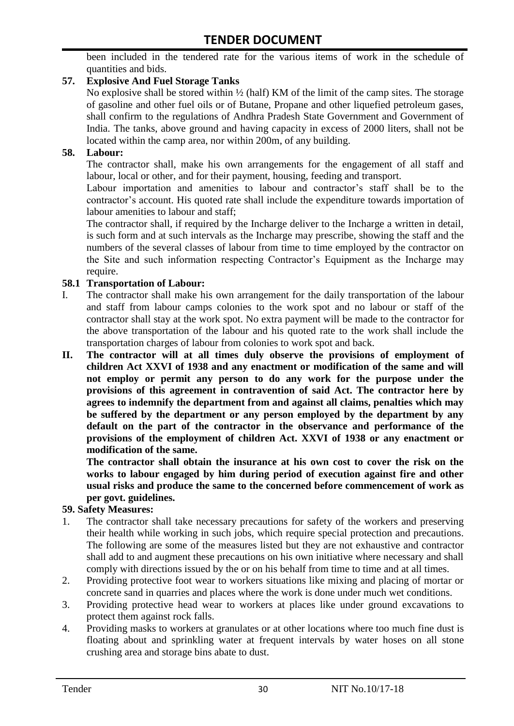been included in the tendered rate for the various items of work in the schedule of quantities and bids.

#### **57. Explosive And Fuel Storage Tanks**

No explosive shall be stored within ½ (half) KM of the limit of the camp sites. The storage of gasoline and other fuel oils or of Butane, Propane and other liquefied petroleum gases, shall confirm to the regulations of Andhra Pradesh State Government and Government of India. The tanks, above ground and having capacity in excess of 2000 liters, shall not be located within the camp area, nor within 200m, of any building.

#### **58. Labour:**

The contractor shall, make his own arrangements for the engagement of all staff and labour, local or other, and for their payment, housing, feeding and transport.

Labour importation and amenities to labour and contractor's staff shall be to the contractor's account. His quoted rate shall include the expenditure towards importation of labour amenities to labour and staff;

The contractor shall, if required by the Incharge deliver to the Incharge a written in detail, is such form and at such intervals as the Incharge may prescribe, showing the staff and the numbers of the several classes of labour from time to time employed by the contractor on the Site and such information respecting Contractor's Equipment as the Incharge may require.

#### **58.1 Transportation of Labour:**

- I. The contractor shall make his own arrangement for the daily transportation of the labour and staff from labour camps colonies to the work spot and no labour or staff of the contractor shall stay at the work spot. No extra payment will be made to the contractor for the above transportation of the labour and his quoted rate to the work shall include the transportation charges of labour from colonies to work spot and back.
- **II. The contractor will at all times duly observe the provisions of employment of children Act XXVI of 1938 and any enactment or modification of the same and will not employ or permit any person to do any work for the purpose under the provisions of this agreement in contravention of said Act. The contractor here by agrees to indemnify the department from and against all claims, penalties which may be suffered by the department or any person employed by the department by any default on the part of the contractor in the observance and performance of the provisions of the employment of children Act. XXVI of 1938 or any enactment or modification of the same.**

**The contractor shall obtain the insurance at his own cost to cover the risk on the works to labour engaged by him during period of execution against fire and other usual risks and produce the same to the concerned before commencement of work as per govt. guidelines.**

#### **59. Safety Measures:**

- 1. The contractor shall take necessary precautions for safety of the workers and preserving their health while working in such jobs, which require special protection and precautions. The following are some of the measures listed but they are not exhaustive and contractor shall add to and augment these precautions on his own initiative where necessary and shall comply with directions issued by the or on his behalf from time to time and at all times.
- 2. Providing protective foot wear to workers situations like mixing and placing of mortar or concrete sand in quarries and places where the work is done under much wet conditions.
- 3. Providing protective head wear to workers at places like under ground excavations to protect them against rock falls.
- 4. Providing masks to workers at granulates or at other locations where too much fine dust is floating about and sprinkling water at frequent intervals by water hoses on all stone crushing area and storage bins abate to dust.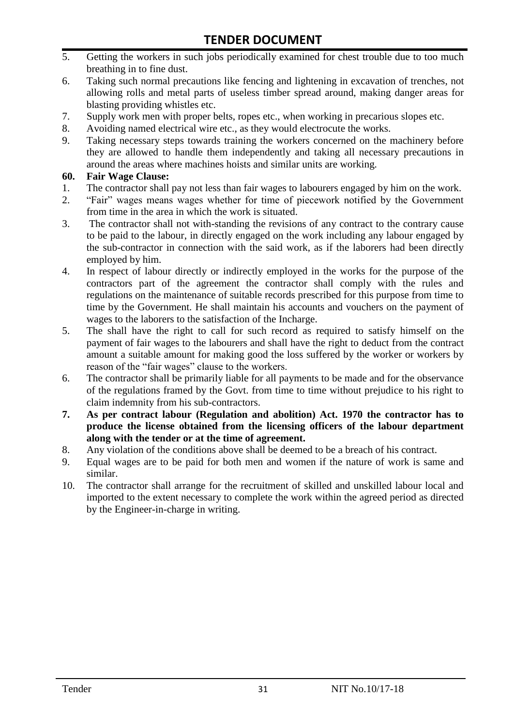- 5. Getting the workers in such jobs periodically examined for chest trouble due to too much breathing in to fine dust.
- 6. Taking such normal precautions like fencing and lightening in excavation of trenches, not allowing rolls and metal parts of useless timber spread around, making danger areas for blasting providing whistles etc.
- 7. Supply work men with proper belts, ropes etc., when working in precarious slopes etc.
- 8. Avoiding named electrical wire etc., as they would electrocute the works.
- 9. Taking necessary steps towards training the workers concerned on the machinery before they are allowed to handle them independently and taking all necessary precautions in around the areas where machines hoists and similar units are working.

#### **60. Fair Wage Clause:**

- 1. The contractor shall pay not less than fair wages to labourers engaged by him on the work.
- 2. "Fair" wages means wages whether for time of piecework notified by the Government from time in the area in which the work is situated.
- 3. The contractor shall not with-standing the revisions of any contract to the contrary cause to be paid to the labour, in directly engaged on the work including any labour engaged by the sub-contractor in connection with the said work, as if the laborers had been directly employed by him.
- 4. In respect of labour directly or indirectly employed in the works for the purpose of the contractors part of the agreement the contractor shall comply with the rules and regulations on the maintenance of suitable records prescribed for this purpose from time to time by the Government. He shall maintain his accounts and vouchers on the payment of wages to the laborers to the satisfaction of the Incharge.
- 5. The shall have the right to call for such record as required to satisfy himself on the payment of fair wages to the labourers and shall have the right to deduct from the contract amount a suitable amount for making good the loss suffered by the worker or workers by reason of the "fair wages" clause to the workers.
- 6. The contractor shall be primarily liable for all payments to be made and for the observance of the regulations framed by the Govt. from time to time without prejudice to his right to claim indemnity from his sub-contractors.
- **7. As per contract labour (Regulation and abolition) Act. 1970 the contractor has to produce the license obtained from the licensing officers of the labour department along with the tender or at the time of agreement.**
- 8. Any violation of the conditions above shall be deemed to be a breach of his contract.
- 9. Equal wages are to be paid for both men and women if the nature of work is same and similar.
- 10. The contractor shall arrange for the recruitment of skilled and unskilled labour local and imported to the extent necessary to complete the work within the agreed period as directed by the Engineer-in-charge in writing.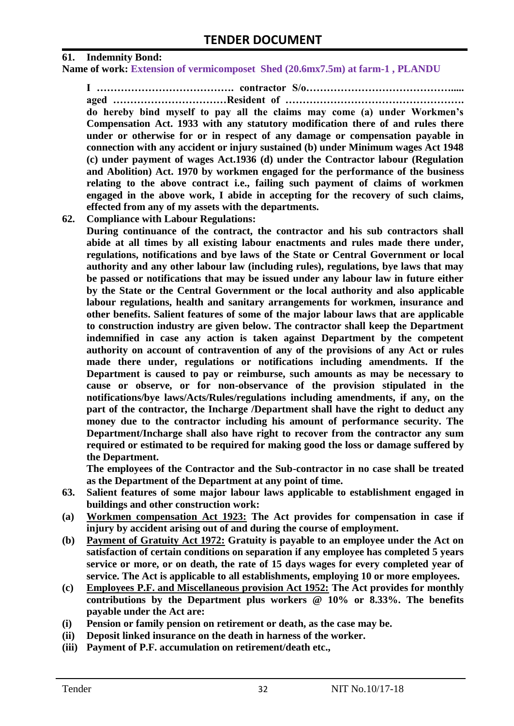#### **61. Indemnity Bond:**

**Name of work: Extension of vermicomposet Shed (20.6mx7.5m) at farm-1 , PLANDU**

**I …………………………………. contractor S/o……………………………………..... aged ……………………………Resident of ……………………………………………. do hereby bind myself to pay all the claims may come (a) under Workmen's Compensation Act. 1933 with any statutory modification there of and rules there under or otherwise for or in respect of any damage or compensation payable in connection with any accident or injury sustained (b) under Minimum wages Act 1948 (c) under payment of wages Act.1936 (d) under the Contractor labour (Regulation and Abolition) Act. 1970 by workmen engaged for the performance of the business relating to the above contract i.e., failing such payment of claims of workmen** 

**engaged in the above work, I abide in accepting for the recovery of such claims,** 

**effected from any of my assets with the departments. 62. Compliance with Labour Regulations:**

**During continuance of the contract, the contractor and his sub contractors shall abide at all times by all existing labour enactments and rules made there under, regulations, notifications and bye laws of the State or Central Government or local authority and any other labour law (including rules), regulations, bye laws that may be passed or notifications that may be issued under any labour law in future either by the State or the Central Government or the local authority and also applicable labour regulations, health and sanitary arrangements for workmen, insurance and other benefits. Salient features of some of the major labour laws that are applicable to construction industry are given below. The contractor shall keep the Department indemnified in case any action is taken against Department by the competent authority on account of contravention of any of the provisions of any Act or rules made there under, regulations or notifications including amendments. If the Department is caused to pay or reimburse, such amounts as may be necessary to cause or observe, or for non-observance of the provision stipulated in the notifications/bye laws/Acts/Rules/regulations including amendments, if any, on the part of the contractor, the Incharge /Department shall have the right to deduct any money due to the contractor including his amount of performance security. The Department/Incharge shall also have right to recover from the contractor any sum required or estimated to be required for making good the loss or damage suffered by the Department.**

**The employees of the Contractor and the Sub-contractor in no case shall be treated as the Department of the Department at any point of time.**

- **63. Salient features of some major labour laws applicable to establishment engaged in buildings and other construction work:**
- **(a) Workmen compensation Act 1923: The Act provides for compensation in case if injury by accident arising out of and during the course of employment.**
- **(b) Payment of Gratuity Act 1972: Gratuity is payable to an employee under the Act on satisfaction of certain conditions on separation if any employee has completed 5 years service or more, or on death, the rate of 15 days wages for every completed year of service. The Act is applicable to all establishments, employing 10 or more employees.**
- **(c) Employees P.F. and Miscellaneous provision Act 1952: The Act provides for monthly contributions by the Department plus workers @ 10% or 8.33%. The benefits payable under the Act are:**
- **(i) Pension or family pension on retirement or death, as the case may be.**
- **(ii) Deposit linked insurance on the death in harness of the worker.**
- **(iii) Payment of P.F. accumulation on retirement/death etc.,**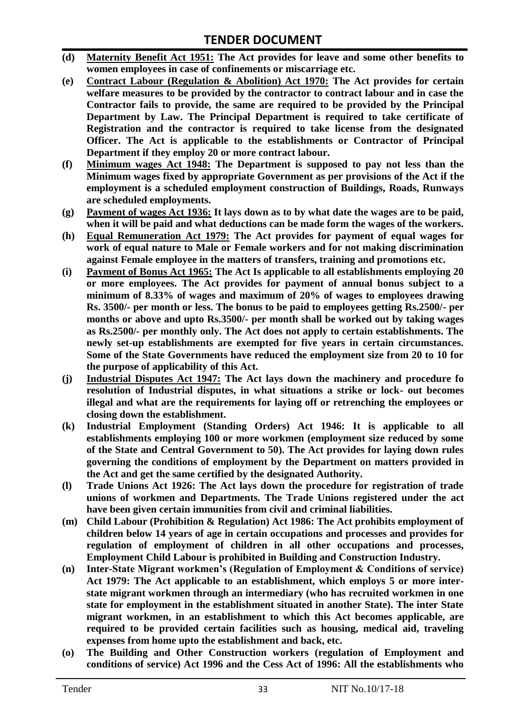- **(d) Maternity Benefit Act 1951: The Act provides for leave and some other benefits to women employees in case of confinements or miscarriage etc.**
- **(e) Contract Labour (Regulation & Abolition) Act 1970: The Act provides for certain welfare measures to be provided by the contractor to contract labour and in case the Contractor fails to provide, the same are required to be provided by the Principal Department by Law. The Principal Department is required to take certificate of Registration and the contractor is required to take license from the designated Officer. The Act is applicable to the establishments or Contractor of Principal Department if they employ 20 or more contract labour.**
- **(f) Minimum wages Act 1948: The Department is supposed to pay not less than the Minimum wages fixed by appropriate Government as per provisions of the Act if the employment is a scheduled employment construction of Buildings, Roads, Runways are scheduled employments.**
- **(g) Payment of wages Act 1936: It lays down as to by what date the wages are to be paid, when it will be paid and what deductions can be made form the wages of the workers.**
- **(h) Equal Remuneration Act 1979: The Act provides for payment of equal wages for work of equal nature to Male or Female workers and for not making discrimination against Female employee in the matters of transfers, training and promotions etc.**
- **(i) Payment of Bonus Act 1965: The Act Is applicable to all establishments employing 20 or more employees. The Act provides for payment of annual bonus subject to a minimum of 8.33% of wages and maximum of 20% of wages to employees drawing Rs. 3500/- per month or less. The bonus to be paid to employees getting Rs.2500/- per months or above and upto Rs.3500/- per month shall be worked out by taking wages as Rs.2500/- per monthly only. The Act does not apply to certain establishments. The newly set-up establishments are exempted for five years in certain circumstances. Some of the State Governments have reduced the employment size from 20 to 10 for the purpose of applicability of this Act.**
- **(j) Industrial Disputes Act 1947: The Act lays down the machinery and procedure fo resolution of Industrial disputes, in what situations a strike or lock- out becomes illegal and what are the requirements for laying off or retrenching the employees or closing down the establishment.**
- **(k) Industrial Employment (Standing Orders) Act 1946: It is applicable to all establishments employing 100 or more workmen (employment size reduced by some of the State and Central Government to 50). The Act provides for laying down rules governing the conditions of employment by the Department on matters provided in the Act and get the same certified by the designated Authority.**
- **(l) Trade Unions Act 1926: The Act lays down the procedure for registration of trade unions of workmen and Departments. The Trade Unions registered under the act have been given certain immunities from civil and criminal liabilities.**
- **(m) Child Labour (Prohibition & Regulation) Act 1986: The Act prohibits employment of children below 14 years of age in certain occupations and processes and provides for regulation of employment of children in all other occupations and processes, Employment Child Labour is prohibited in Building and Construction Industry.**
- **(n) Inter-State Migrant workmen's (Regulation of Employment & Conditions of service) Act 1979: The Act applicable to an establishment, which employs 5 or more interstate migrant workmen through an intermediary (who has recruited workmen in one state for employment in the establishment situated in another State). The inter State migrant workmen, in an establishment to which this Act becomes applicable, are required to be provided certain facilities such as housing, medical aid, traveling expenses from home upto the establishment and back, etc.**
- **(o) The Building and Other Construction workers (regulation of Employment and conditions of service) Act 1996 and the Cess Act of 1996: All the establishments who**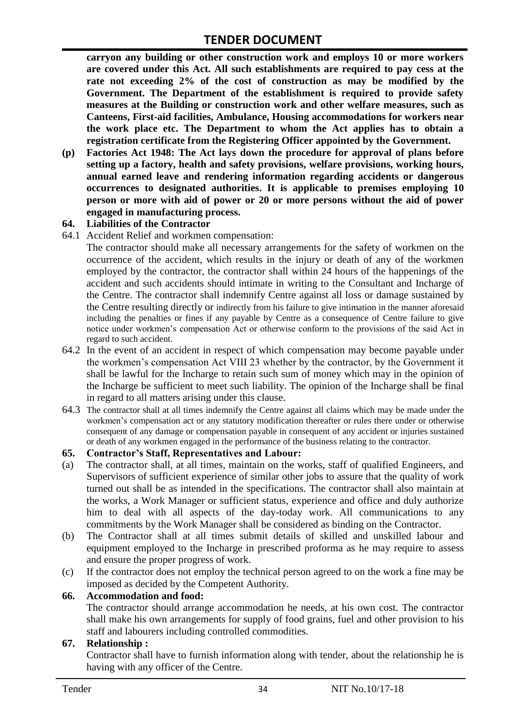**carryon any building or other construction work and employs 10 or more workers are covered under this Act. All such establishments are required to pay cess at the rate not exceeding 2% of the cost of construction as may be modified by the Government. The Department of the establishment is required to provide safety measures at the Building or construction work and other welfare measures, such as Canteens, First-aid facilities, Ambulance, Housing accommodations for workers near the work place etc. The Department to whom the Act applies has to obtain a registration certificate from the Registering Officer appointed by the Government.**

**(p) Factories Act 1948: The Act lays down the procedure for approval of plans before setting up a factory, health and safety provisions, welfare provisions, working hours, annual earned leave and rendering information regarding accidents or dangerous occurrences to designated authorities. It is applicable to premises employing 10 person or more with aid of power or 20 or more persons without the aid of power engaged in manufacturing process.**

#### **64. Liabilities of the Contractor**

64.1 Accident Relief and workmen compensation:

The contractor should make all necessary arrangements for the safety of workmen on the occurrence of the accident, which results in the injury or death of any of the workmen employed by the contractor, the contractor shall within 24 hours of the happenings of the accident and such accidents should intimate in writing to the Consultant and Incharge of the Centre. The contractor shall indemnify Centre against all loss or damage sustained by the Centre resulting directly or indirectly from his failure to give intimation in the manner aforesaid including the penalties or fines if any payable by Centre as a consequence of Centre failure to give notice under workmen's compensation Act or otherwise conform to the provisions of the said Act in regard to such accident.

- 64.2 In the event of an accident in respect of which compensation may become payable under the workmen's compensation Act VIII 23 whether by the contractor, by the Government it shall be lawful for the Incharge to retain such sum of money which may in the opinion of the Incharge be sufficient to meet such liability. The opinion of the Incharge shall be final in regard to all matters arising under this clause.
- 64.3 The contractor shall at all times indemnify the Centre against all claims which may be made under the workmen's compensation act or any statutory modification thereafter or rules there under or otherwise consequent of any damage or compensation payable in consequent of any accident or injuries sustained or death of any workmen engaged in the performance of the business relating to the contractor.

#### **65. Contractor's Staff, Representatives and Labour:**

- (a) The contractor shall, at all times, maintain on the works, staff of qualified Engineers, and Supervisors of sufficient experience of similar other jobs to assure that the quality of work turned out shall be as intended in the specifications. The contractor shall also maintain at the works, a Work Manager or sufficient status, experience and office and duly authorize him to deal with all aspects of the day-today work. All communications to any commitments by the Work Manager shall be considered as binding on the Contractor.
- (b) The Contractor shall at all times submit details of skilled and unskilled labour and equipment employed to the Incharge in prescribed proforma as he may require to assess and ensure the proper progress of work.
- (c) If the contractor does not employ the technical person agreed to on the work a fine may be imposed as decided by the Competent Authority.

#### **66. Accommodation and food:**

The contractor should arrange accommodation he needs, at his own cost. The contractor shall make his own arrangements for supply of food grains, fuel and other provision to his staff and labourers including controlled commodities.

#### **67. Relationship :**

Contractor shall have to furnish information along with tender, about the relationship he is having with any officer of the Centre.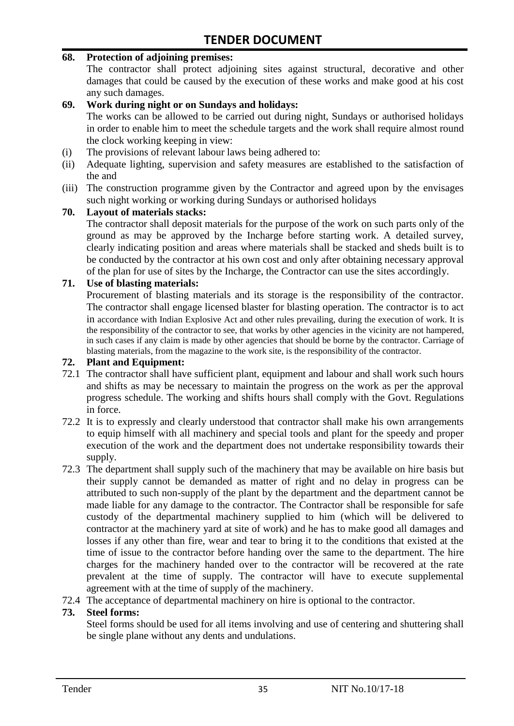#### **68. Protection of adjoining premises:**

The contractor shall protect adjoining sites against structural, decorative and other damages that could be caused by the execution of these works and make good at his cost any such damages.

#### **69. Work during night or on Sundays and holidays:**

The works can be allowed to be carried out during night, Sundays or authorised holidays in order to enable him to meet the schedule targets and the work shall require almost round the clock working keeping in view:

- (i) The provisions of relevant labour laws being adhered to:
- (ii) Adequate lighting, supervision and safety measures are established to the satisfaction of the and
- (iii) The construction programme given by the Contractor and agreed upon by the envisages such night working or working during Sundays or authorised holidays

#### **70. Layout of materials stacks:**

The contractor shall deposit materials for the purpose of the work on such parts only of the ground as may be approved by the Incharge before starting work. A detailed survey, clearly indicating position and areas where materials shall be stacked and sheds built is to be conducted by the contractor at his own cost and only after obtaining necessary approval of the plan for use of sites by the Incharge, the Contractor can use the sites accordingly.

#### **71. Use of blasting materials:**

Procurement of blasting materials and its storage is the responsibility of the contractor. The contractor shall engage licensed blaster for blasting operation. The contractor is to act in accordance with Indian Explosive Act and other rules prevailing, during the execution of work. It is the responsibility of the contractor to see, that works by other agencies in the vicinity are not hampered, in such cases if any claim is made by other agencies that should be borne by the contractor. Carriage of blasting materials, from the magazine to the work site, is the responsibility of the contractor.

#### **72. Plant and Equipment:**

- 72.1 The contractor shall have sufficient plant, equipment and labour and shall work such hours and shifts as may be necessary to maintain the progress on the work as per the approval progress schedule. The working and shifts hours shall comply with the Govt. Regulations in force.
- 72.2 It is to expressly and clearly understood that contractor shall make his own arrangements to equip himself with all machinery and special tools and plant for the speedy and proper execution of the work and the department does not undertake responsibility towards their supply.
- 72.3 The department shall supply such of the machinery that may be available on hire basis but their supply cannot be demanded as matter of right and no delay in progress can be attributed to such non-supply of the plant by the department and the department cannot be made liable for any damage to the contractor. The Contractor shall be responsible for safe custody of the departmental machinery supplied to him (which will be delivered to contractor at the machinery yard at site of work) and he has to make good all damages and losses if any other than fire, wear and tear to bring it to the conditions that existed at the time of issue to the contractor before handing over the same to the department. The hire charges for the machinery handed over to the contractor will be recovered at the rate prevalent at the time of supply. The contractor will have to execute supplemental agreement with at the time of supply of the machinery.
- 72.4 The acceptance of departmental machinery on hire is optional to the contractor.

#### **73. Steel forms:**

Steel forms should be used for all items involving and use of centering and shuttering shall be single plane without any dents and undulations.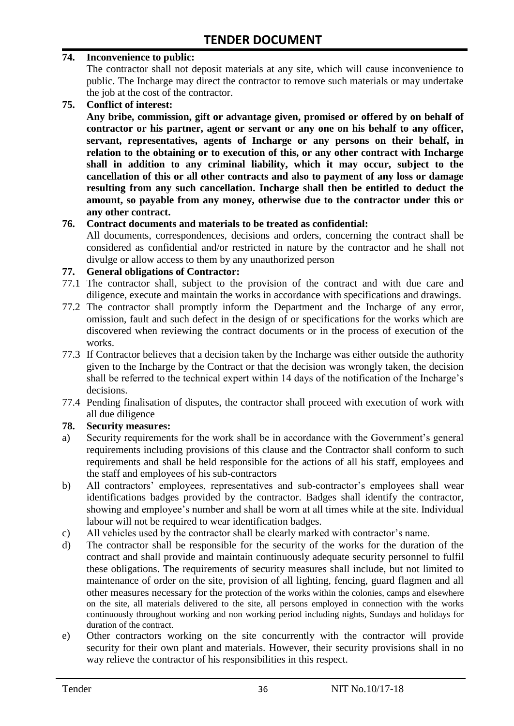#### **74. Inconvenience to public:**

The contractor shall not deposit materials at any site, which will cause inconvenience to public. The Incharge may direct the contractor to remove such materials or may undertake the job at the cost of the contractor.

**75. Conflict of interest:**

**Any bribe, commission, gift or advantage given, promised or offered by on behalf of contractor or his partner, agent or servant or any one on his behalf to any officer, servant, representatives, agents of Incharge or any persons on their behalf, in relation to the obtaining or to execution of this, or any other contract with Incharge shall in addition to any criminal liability, which it may occur, subject to the cancellation of this or all other contracts and also to payment of any loss or damage resulting from any such cancellation. Incharge shall then be entitled to deduct the amount, so payable from any money, otherwise due to the contractor under this or any other contract.**

#### **76. Contract documents and materials to be treated as confidential:**

All documents, correspondences, decisions and orders, concerning the contract shall be considered as confidential and/or restricted in nature by the contractor and he shall not divulge or allow access to them by any unauthorized person

#### **77. General obligations of Contractor:**

- 77.1 The contractor shall, subject to the provision of the contract and with due care and diligence, execute and maintain the works in accordance with specifications and drawings.
- 77.2 The contractor shall promptly inform the Department and the Incharge of any error, omission, fault and such defect in the design of or specifications for the works which are discovered when reviewing the contract documents or in the process of execution of the works.
- 77.3 If Contractor believes that a decision taken by the Incharge was either outside the authority given to the Incharge by the Contract or that the decision was wrongly taken, the decision shall be referred to the technical expert within 14 days of the notification of the Incharge's decisions.
- 77.4 Pending finalisation of disputes, the contractor shall proceed with execution of work with all due diligence

#### **78. Security measures:**

- a) Security requirements for the work shall be in accordance with the Government's general requirements including provisions of this clause and the Contractor shall conform to such requirements and shall be held responsible for the actions of all his staff, employees and the staff and employees of his sub-contractors
- b) All contractors' employees, representatives and sub-contractor's employees shall wear identifications badges provided by the contractor. Badges shall identify the contractor, showing and employee's number and shall be worn at all times while at the site. Individual labour will not be required to wear identification badges.
- c) All vehicles used by the contractor shall be clearly marked with contractor's name.
- d) The contractor shall be responsible for the security of the works for the duration of the contract and shall provide and maintain continuously adequate security personnel to fulfil these obligations. The requirements of security measures shall include, but not limited to maintenance of order on the site, provision of all lighting, fencing, guard flagmen and all other measures necessary for the protection of the works within the colonies, camps and elsewhere on the site, all materials delivered to the site, all persons employed in connection with the works continuously throughout working and non working period including nights, Sundays and holidays for duration of the contract.
- e) Other contractors working on the site concurrently with the contractor will provide security for their own plant and materials. However, their security provisions shall in no way relieve the contractor of his responsibilities in this respect.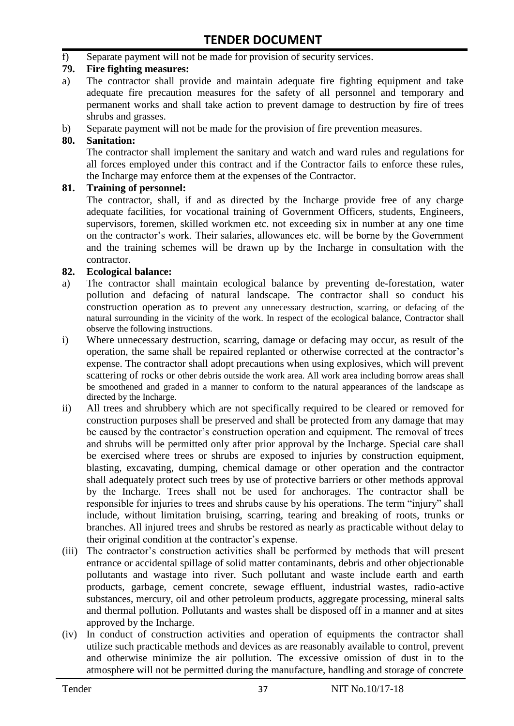f) Separate payment will not be made for provision of security services.

#### **79. Fire fighting measures:**

- a) The contractor shall provide and maintain adequate fire fighting equipment and take adequate fire precaution measures for the safety of all personnel and temporary and permanent works and shall take action to prevent damage to destruction by fire of trees shrubs and grasses.
- b) Separate payment will not be made for the provision of fire prevention measures.

#### **80. Sanitation:**

The contractor shall implement the sanitary and watch and ward rules and regulations for all forces employed under this contract and if the Contractor fails to enforce these rules, the Incharge may enforce them at the expenses of the Contractor.

#### **81. Training of personnel:**

The contractor, shall, if and as directed by the Incharge provide free of any charge adequate facilities, for vocational training of Government Officers, students, Engineers, supervisors, foremen, skilled workmen etc. not exceeding six in number at any one time on the contractor's work. Their salaries, allowances etc. will be borne by the Government and the training schemes will be drawn up by the Incharge in consultation with the contractor.

#### **82. Ecological balance:**

- a) The contractor shall maintain ecological balance by preventing de-forestation, water pollution and defacing of natural landscape. The contractor shall so conduct his construction operation as to prevent any unnecessary destruction, scarring, or defacing of the natural surrounding in the vicinity of the work. In respect of the ecological balance, Contractor shall observe the following instructions.
- i) Where unnecessary destruction, scarring, damage or defacing may occur, as result of the operation, the same shall be repaired replanted or otherwise corrected at the contractor's expense. The contractor shall adopt precautions when using explosives, which will prevent scattering of rocks or other debris outside the work area. All work area including borrow areas shall be smoothened and graded in a manner to conform to the natural appearances of the landscape as directed by the Incharge.
- ii) All trees and shrubbery which are not specifically required to be cleared or removed for construction purposes shall be preserved and shall be protected from any damage that may be caused by the contractor's construction operation and equipment. The removal of trees and shrubs will be permitted only after prior approval by the Incharge. Special care shall be exercised where trees or shrubs are exposed to injuries by construction equipment, blasting, excavating, dumping, chemical damage or other operation and the contractor shall adequately protect such trees by use of protective barriers or other methods approval by the Incharge. Trees shall not be used for anchorages. The contractor shall be responsible for injuries to trees and shrubs cause by his operations. The term "injury" shall include, without limitation bruising, scarring, tearing and breaking of roots, trunks or branches. All injured trees and shrubs be restored as nearly as practicable without delay to their original condition at the contractor's expense.
- (iii) The contractor's construction activities shall be performed by methods that will present entrance or accidental spillage of solid matter contaminants, debris and other objectionable pollutants and wastage into river. Such pollutant and waste include earth and earth products, garbage, cement concrete, sewage effluent, industrial wastes, radio-active substances, mercury, oil and other petroleum products, aggregate processing, mineral salts and thermal pollution. Pollutants and wastes shall be disposed off in a manner and at sites approved by the Incharge.
- (iv) In conduct of construction activities and operation of equipments the contractor shall utilize such practicable methods and devices as are reasonably available to control, prevent and otherwise minimize the air pollution. The excessive omission of dust in to the atmosphere will not be permitted during the manufacture, handling and storage of concrete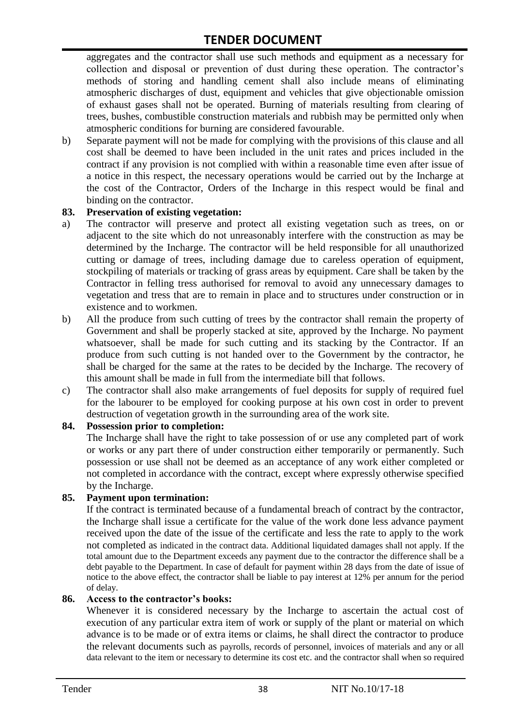aggregates and the contractor shall use such methods and equipment as a necessary for collection and disposal or prevention of dust during these operation. The contractor's methods of storing and handling cement shall also include means of eliminating atmospheric discharges of dust, equipment and vehicles that give objectionable omission of exhaust gases shall not be operated. Burning of materials resulting from clearing of trees, bushes, combustible construction materials and rubbish may be permitted only when atmospheric conditions for burning are considered favourable.

b) Separate payment will not be made for complying with the provisions of this clause and all cost shall be deemed to have been included in the unit rates and prices included in the contract if any provision is not complied with within a reasonable time even after issue of a notice in this respect, the necessary operations would be carried out by the Incharge at the cost of the Contractor, Orders of the Incharge in this respect would be final and binding on the contractor.

#### **83. Preservation of existing vegetation:**

- a) The contractor will preserve and protect all existing vegetation such as trees, on or adjacent to the site which do not unreasonably interfere with the construction as may be determined by the Incharge. The contractor will be held responsible for all unauthorized cutting or damage of trees, including damage due to careless operation of equipment, stockpiling of materials or tracking of grass areas by equipment. Care shall be taken by the Contractor in felling tress authorised for removal to avoid any unnecessary damages to vegetation and tress that are to remain in place and to structures under construction or in existence and to workmen.
- b) All the produce from such cutting of trees by the contractor shall remain the property of Government and shall be properly stacked at site, approved by the Incharge. No payment whatsoever, shall be made for such cutting and its stacking by the Contractor. If an produce from such cutting is not handed over to the Government by the contractor, he shall be charged for the same at the rates to be decided by the Incharge. The recovery of this amount shall be made in full from the intermediate bill that follows.
- c) The contractor shall also make arrangements of fuel deposits for supply of required fuel for the labourer to be employed for cooking purpose at his own cost in order to prevent destruction of vegetation growth in the surrounding area of the work site.

#### **84. Possession prior to completion:**

The Incharge shall have the right to take possession of or use any completed part of work or works or any part there of under construction either temporarily or permanently. Such possession or use shall not be deemed as an acceptance of any work either completed or not completed in accordance with the contract, except where expressly otherwise specified by the Incharge.

#### **85. Payment upon termination:**

If the contract is terminated because of a fundamental breach of contract by the contractor, the Incharge shall issue a certificate for the value of the work done less advance payment received upon the date of the issue of the certificate and less the rate to apply to the work not completed as indicated in the contract data. Additional liquidated damages shall not apply. If the total amount due to the Department exceeds any payment due to the contractor the difference shall be a debt payable to the Department. In case of default for payment within 28 days from the date of issue of notice to the above effect, the contractor shall be liable to pay interest at 12% per annum for the period of delay.

#### **86. Access to the contractor's books:**

Whenever it is considered necessary by the Incharge to ascertain the actual cost of execution of any particular extra item of work or supply of the plant or material on which advance is to be made or of extra items or claims, he shall direct the contractor to produce the relevant documents such as payrolls, records of personnel, invoices of materials and any or all data relevant to the item or necessary to determine its cost etc. and the contractor shall when so required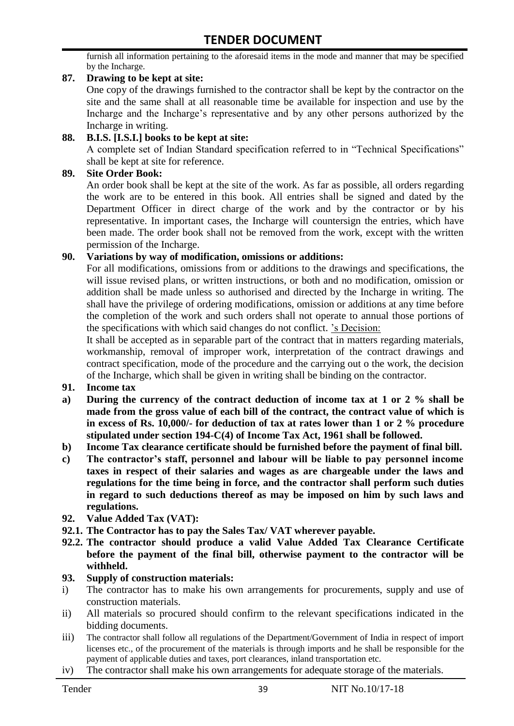furnish all information pertaining to the aforesaid items in the mode and manner that may be specified by the Incharge.

#### **87. Drawing to be kept at site:**

One copy of the drawings furnished to the contractor shall be kept by the contractor on the site and the same shall at all reasonable time be available for inspection and use by the Incharge and the Incharge's representative and by any other persons authorized by the Incharge in writing.

#### **88. B.I.S. [I.S.I.] books to be kept at site:**

A complete set of Indian Standard specification referred to in "Technical Specifications" shall be kept at site for reference.

#### **89. Site Order Book:**

An order book shall be kept at the site of the work. As far as possible, all orders regarding the work are to be entered in this book. All entries shall be signed and dated by the Department Officer in direct charge of the work and by the contractor or by his representative. In important cases, the Incharge will countersign the entries, which have been made. The order book shall not be removed from the work, except with the written permission of the Incharge.

#### **90. Variations by way of modification, omissions or additions:**

For all modifications, omissions from or additions to the drawings and specifications, the will issue revised plans, or written instructions, or both and no modification, omission or addition shall be made unless so authorised and directed by the Incharge in writing. The shall have the privilege of ordering modifications, omission or additions at any time before the completion of the work and such orders shall not operate to annual those portions of the specifications with which said changes do not conflict. 's Decision:

It shall be accepted as in separable part of the contract that in matters regarding materials, workmanship, removal of improper work, interpretation of the contract drawings and contract specification, mode of the procedure and the carrying out o the work, the decision of the Incharge, which shall be given in writing shall be binding on the contractor.

- **91. Income tax**
- **a) During the currency of the contract deduction of income tax at 1 or 2 % shall be made from the gross value of each bill of the contract, the contract value of which is in excess of Rs. 10,000/- for deduction of tax at rates lower than 1 or 2 % procedure stipulated under section 194-C(4) of Income Tax Act, 1961 shall be followed.**
- **b) Income Tax clearance certificate should be furnished before the payment of final bill.**
- **c) The contractor's staff, personnel and labour will be liable to pay personnel income taxes in respect of their salaries and wages as are chargeable under the laws and regulations for the time being in force, and the contractor shall perform such duties in regard to such deductions thereof as may be imposed on him by such laws and regulations.**
- **92. Value Added Tax (VAT):**
- **92.1. The Contractor has to pay the Sales Tax/ VAT wherever payable.**
- **92.2. The contractor should produce a valid Value Added Tax Clearance Certificate before the payment of the final bill, otherwise payment to the contractor will be withheld.**

#### **93. Supply of construction materials:**

- i) The contractor has to make his own arrangements for procurements, supply and use of construction materials.
- ii) All materials so procured should confirm to the relevant specifications indicated in the bidding documents.
- iii) The contractor shall follow all regulations of the Department/Government of India in respect of import licenses etc., of the procurement of the materials is through imports and he shall be responsible for the payment of applicable duties and taxes, port clearances, inland transportation etc.
- iv) The contractor shall make his own arrangements for adequate storage of the materials.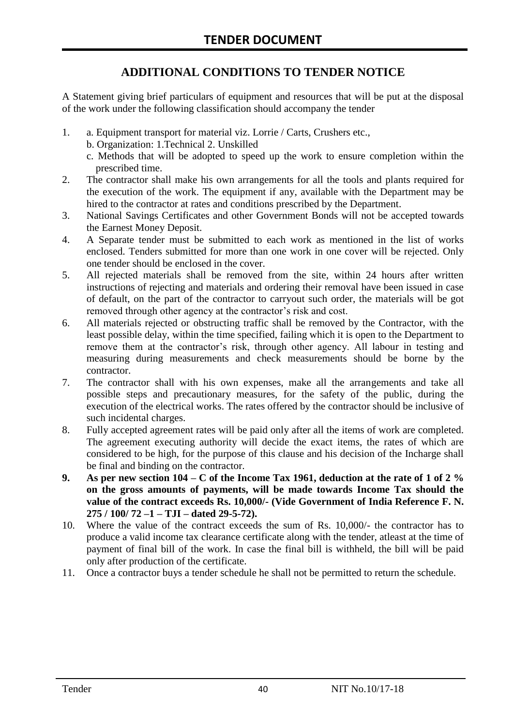# **ADDITIONAL CONDITIONS TO TENDER NOTICE**

A Statement giving brief particulars of equipment and resources that will be put at the disposal of the work under the following classification should accompany the tender

- 1. a. Equipment transport for material viz. Lorrie / Carts, Crushers etc.,
	- b. Organization: 1.Technical 2. Unskilled
	- c. Methods that will be adopted to speed up the work to ensure completion within the prescribed time.
- 2. The contractor shall make his own arrangements for all the tools and plants required for the execution of the work. The equipment if any, available with the Department may be hired to the contractor at rates and conditions prescribed by the Department.
- 3. National Savings Certificates and other Government Bonds will not be accepted towards the Earnest Money Deposit.
- 4. A Separate tender must be submitted to each work as mentioned in the list of works enclosed. Tenders submitted for more than one work in one cover will be rejected. Only one tender should be enclosed in the cover.
- 5. All rejected materials shall be removed from the site, within 24 hours after written instructions of rejecting and materials and ordering their removal have been issued in case of default, on the part of the contractor to carryout such order, the materials will be got removed through other agency at the contractor's risk and cost.
- 6. All materials rejected or obstructing traffic shall be removed by the Contractor, with the least possible delay, within the time specified, failing which it is open to the Department to remove them at the contractor's risk, through other agency. All labour in testing and measuring during measurements and check measurements should be borne by the contractor.
- 7. The contractor shall with his own expenses, make all the arrangements and take all possible steps and precautionary measures, for the safety of the public, during the execution of the electrical works. The rates offered by the contractor should be inclusive of such incidental charges.
- 8. Fully accepted agreement rates will be paid only after all the items of work are completed. The agreement executing authority will decide the exact items, the rates of which are considered to be high, for the purpose of this clause and his decision of the Incharge shall be final and binding on the contractor.
- **9. As per new section 104 – C of the Income Tax 1961, deduction at the rate of 1 of 2 % on the gross amounts of payments, will be made towards Income Tax should the value of the contract exceeds Rs. 10,000/- (Vide Government of India Reference F. N. 275 / 100/ 72 –1 – TJI – dated 29-5-72).**
- 10. Where the value of the contract exceeds the sum of Rs. 10,000/- the contractor has to produce a valid income tax clearance certificate along with the tender, atleast at the time of payment of final bill of the work. In case the final bill is withheld, the bill will be paid only after production of the certificate.
- 11. Once a contractor buys a tender schedule he shall not be permitted to return the schedule.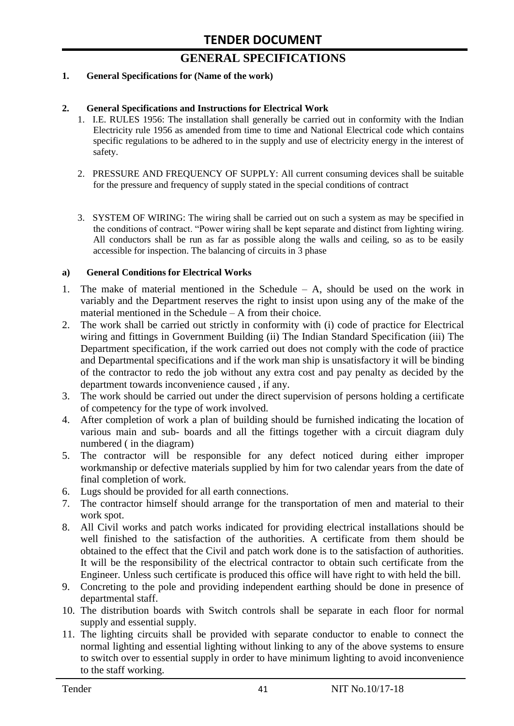# **GENERAL SPECIFICATIONS**

#### **1. General Specifications for (Name of the work)**

#### **2. General Specifications and Instructions for Electrical Work**

- 1. I.E. RULES 1956: The installation shall generally be carried out in conformity with the Indian Electricity rule 1956 as amended from time to time and National Electrical code which contains specific regulations to be adhered to in the supply and use of electricity energy in the interest of safety.
- 2. PRESSURE AND FREQUENCY OF SUPPLY: All current consuming devices shall be suitable for the pressure and frequency of supply stated in the special conditions of contract
- 3. SYSTEM OF WIRING: The wiring shall be carried out on such a system as may be specified in the conditions of contract. "Power wiring shall be kept separate and distinct from lighting wiring. All conductors shall be run as far as possible along the walls and ceiling, so as to be easily accessible for inspection. The balancing of circuits in 3 phase

#### **a) General Conditions for Electrical Works**

- 1. The make of material mentioned in the Schedule A, should be used on the work in variably and the Department reserves the right to insist upon using any of the make of the material mentioned in the Schedule – A from their choice.
- 2. The work shall be carried out strictly in conformity with (i) code of practice for Electrical wiring and fittings in Government Building (ii) The Indian Standard Specification (iii) The Department specification, if the work carried out does not comply with the code of practice and Departmental specifications and if the work man ship is unsatisfactory it will be binding of the contractor to redo the job without any extra cost and pay penalty as decided by the department towards inconvenience caused , if any.
- 3. The work should be carried out under the direct supervision of persons holding a certificate of competency for the type of work involved.
- 4. After completion of work a plan of building should be furnished indicating the location of various main and sub- boards and all the fittings together with a circuit diagram duly numbered ( in the diagram)
- 5. The contractor will be responsible for any defect noticed during either improper workmanship or defective materials supplied by him for two calendar years from the date of final completion of work.
- 6. Lugs should be provided for all earth connections.
- 7. The contractor himself should arrange for the transportation of men and material to their work spot.
- 8. All Civil works and patch works indicated for providing electrical installations should be well finished to the satisfaction of the authorities. A certificate from them should be obtained to the effect that the Civil and patch work done is to the satisfaction of authorities. It will be the responsibility of the electrical contractor to obtain such certificate from the Engineer. Unless such certificate is produced this office will have right to with held the bill.
- 9. Concreting to the pole and providing independent earthing should be done in presence of departmental staff.
- 10. The distribution boards with Switch controls shall be separate in each floor for normal supply and essential supply.
- 11. The lighting circuits shall be provided with separate conductor to enable to connect the normal lighting and essential lighting without linking to any of the above systems to ensure to switch over to essential supply in order to have minimum lighting to avoid inconvenience to the staff working.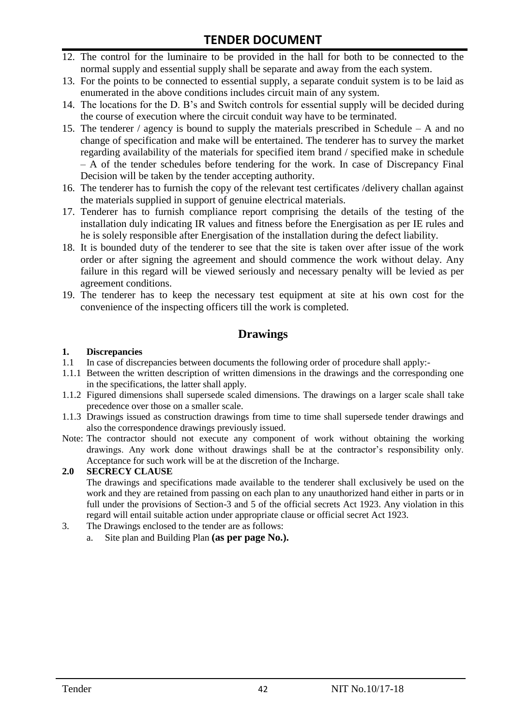# **TENDER DOCUMENT**

- 12. The control for the luminaire to be provided in the hall for both to be connected to the normal supply and essential supply shall be separate and away from the each system.
- 13. For the points to be connected to essential supply, a separate conduit system is to be laid as enumerated in the above conditions includes circuit main of any system.
- 14. The locations for the D. B's and Switch controls for essential supply will be decided during the course of execution where the circuit conduit way have to be terminated.
- 15. The tenderer / agency is bound to supply the materials prescribed in Schedule A and no change of specification and make will be entertained. The tenderer has to survey the market regarding availability of the materials for specified item brand / specified make in schedule – A of the tender schedules before tendering for the work. In case of Discrepancy Final Decision will be taken by the tender accepting authority.
- 16. The tenderer has to furnish the copy of the relevant test certificates /delivery challan against the materials supplied in support of genuine electrical materials.
- 17. Tenderer has to furnish compliance report comprising the details of the testing of the installation duly indicating IR values and fitness before the Energisation as per IE rules and he is solely responsible after Energisation of the installation during the defect liability.
- 18. It is bounded duty of the tenderer to see that the site is taken over after issue of the work order or after signing the agreement and should commence the work without delay. Any failure in this regard will be viewed seriously and necessary penalty will be levied as per agreement conditions.
- 19. The tenderer has to keep the necessary test equipment at site at his own cost for the convenience of the inspecting officers till the work is completed.

### **Drawings**

#### **1. Discrepancies**

- 1.1 In case of discrepancies between documents the following order of procedure shall apply:-
- 1.1.1 Between the written description of written dimensions in the drawings and the corresponding one in the specifications, the latter shall apply.
- 1.1.2 Figured dimensions shall supersede scaled dimensions. The drawings on a larger scale shall take precedence over those on a smaller scale.
- 1.1.3 Drawings issued as construction drawings from time to time shall supersede tender drawings and also the correspondence drawings previously issued.
- Note: The contractor should not execute any component of work without obtaining the working drawings. Any work done without drawings shall be at the contractor's responsibility only. Acceptance for such work will be at the discretion of the Incharge.

#### **2.0 SECRECY CLAUSE**

The drawings and specifications made available to the tenderer shall exclusively be used on the work and they are retained from passing on each plan to any unauthorized hand either in parts or in full under the provisions of Section-3 and 5 of the official secrets Act 1923. Any violation in this regard will entail suitable action under appropriate clause or official secret Act 1923.

- 3. The Drawings enclosed to the tender are as follows:
	- a. Site plan and Building Plan **(as per page No.).**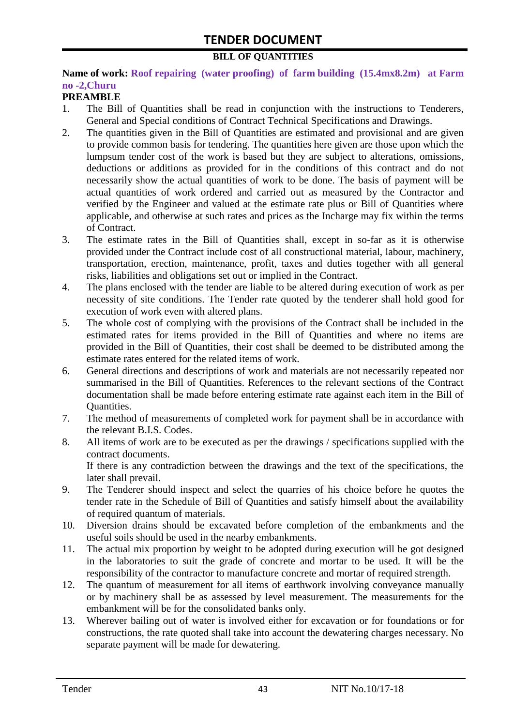#### **BILL OF QUANTITIES**

#### **Name of work: Roof repairing (water proofing) of farm building (15.4mx8.2m) at Farm no -2,Churu**

#### **PREAMBLE**

- 1. The Bill of Quantities shall be read in conjunction with the instructions to Tenderers, General and Special conditions of Contract Technical Specifications and Drawings.
- 2. The quantities given in the Bill of Quantities are estimated and provisional and are given to provide common basis for tendering. The quantities here given are those upon which the lumpsum tender cost of the work is based but they are subject to alterations, omissions, deductions or additions as provided for in the conditions of this contract and do not necessarily show the actual quantities of work to be done. The basis of payment will be actual quantities of work ordered and carried out as measured by the Contractor and verified by the Engineer and valued at the estimate rate plus or Bill of Quantities where applicable, and otherwise at such rates and prices as the Incharge may fix within the terms of Contract.
- 3. The estimate rates in the Bill of Quantities shall, except in so-far as it is otherwise provided under the Contract include cost of all constructional material, labour, machinery, transportation, erection, maintenance, profit, taxes and duties together with all general risks, liabilities and obligations set out or implied in the Contract.
- 4. The plans enclosed with the tender are liable to be altered during execution of work as per necessity of site conditions. The Tender rate quoted by the tenderer shall hold good for execution of work even with altered plans.
- 5. The whole cost of complying with the provisions of the Contract shall be included in the estimated rates for items provided in the Bill of Quantities and where no items are provided in the Bill of Quantities, their cost shall be deemed to be distributed among the estimate rates entered for the related items of work.
- 6. General directions and descriptions of work and materials are not necessarily repeated nor summarised in the Bill of Quantities. References to the relevant sections of the Contract documentation shall be made before entering estimate rate against each item in the Bill of Quantities.
- 7. The method of measurements of completed work for payment shall be in accordance with the relevant B.I.S. Codes.
- 8. All items of work are to be executed as per the drawings / specifications supplied with the contract documents. If there is any contradiction between the drawings and the text of the specifications, the
- later shall prevail. 9. The Tenderer should inspect and select the quarries of his choice before he quotes the tender rate in the Schedule of Bill of Quantities and satisfy himself about the availability of required quantum of materials.
- 10. Diversion drains should be excavated before completion of the embankments and the useful soils should be used in the nearby embankments.
- 11. The actual mix proportion by weight to be adopted during execution will be got designed in the laboratories to suit the grade of concrete and mortar to be used. It will be the responsibility of the contractor to manufacture concrete and mortar of required strength.
- 12. The quantum of measurement for all items of earthwork involving conveyance manually or by machinery shall be as assessed by level measurement. The measurements for the embankment will be for the consolidated banks only.
- 13. Wherever bailing out of water is involved either for excavation or for foundations or for constructions, the rate quoted shall take into account the dewatering charges necessary. No separate payment will be made for dewatering.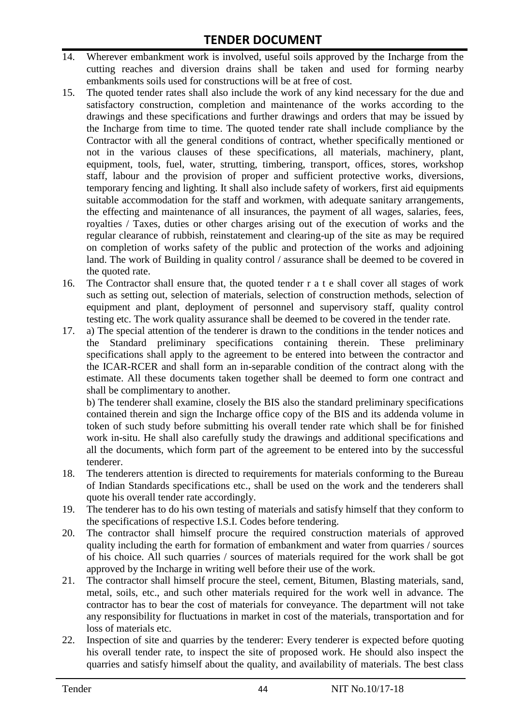- 14. Wherever embankment work is involved, useful soils approved by the Incharge from the cutting reaches and diversion drains shall be taken and used for forming nearby embankments soils used for constructions will be at free of cost.
- 15. The quoted tender rates shall also include the work of any kind necessary for the due and satisfactory construction, completion and maintenance of the works according to the drawings and these specifications and further drawings and orders that may be issued by the Incharge from time to time. The quoted tender rate shall include compliance by the Contractor with all the general conditions of contract, whether specifically mentioned or not in the various clauses of these specifications, all materials, machinery, plant, equipment, tools, fuel, water, strutting, timbering, transport, offices, stores, workshop staff, labour and the provision of proper and sufficient protective works, diversions, temporary fencing and lighting. It shall also include safety of workers, first aid equipments suitable accommodation for the staff and workmen, with adequate sanitary arrangements, the effecting and maintenance of all insurances, the payment of all wages, salaries, fees, royalties / Taxes, duties or other charges arising out of the execution of works and the regular clearance of rubbish, reinstatement and clearing-up of the site as may be required on completion of works safety of the public and protection of the works and adjoining land. The work of Building in quality control / assurance shall be deemed to be covered in the quoted rate.
- 16. The Contractor shall ensure that, the quoted tender r a t e shall cover all stages of work such as setting out, selection of materials, selection of construction methods, selection of equipment and plant, deployment of personnel and supervisory staff, quality control testing etc. The work quality assurance shall be deemed to be covered in the tender rate.
- 17. a) The special attention of the tenderer is drawn to the conditions in the tender notices and the Standard preliminary specifications containing therein. These preliminary specifications shall apply to the agreement to be entered into between the contractor and the ICAR-RCER and shall form an in-separable condition of the contract along with the estimate. All these documents taken together shall be deemed to form one contract and shall be complimentary to another.

b) The tenderer shall examine, closely the BIS also the standard preliminary specifications contained therein and sign the Incharge office copy of the BIS and its addenda volume in token of such study before submitting his overall tender rate which shall be for finished work in-situ. He shall also carefully study the drawings and additional specifications and all the documents, which form part of the agreement to be entered into by the successful tenderer.

- 18. The tenderers attention is directed to requirements for materials conforming to the Bureau of Indian Standards specifications etc., shall be used on the work and the tenderers shall quote his overall tender rate accordingly.
- 19. The tenderer has to do his own testing of materials and satisfy himself that they conform to the specifications of respective I.S.I. Codes before tendering.
- 20. The contractor shall himself procure the required construction materials of approved quality including the earth for formation of embankment and water from quarries / sources of his choice. All such quarries / sources of materials required for the work shall be got approved by the Incharge in writing well before their use of the work.
- 21. The contractor shall himself procure the steel, cement, Bitumen, Blasting materials, sand, metal, soils, etc., and such other materials required for the work well in advance. The contractor has to bear the cost of materials for conveyance. The department will not take any responsibility for fluctuations in market in cost of the materials, transportation and for loss of materials etc.
- 22. Inspection of site and quarries by the tenderer: Every tenderer is expected before quoting his overall tender rate, to inspect the site of proposed work. He should also inspect the quarries and satisfy himself about the quality, and availability of materials. The best class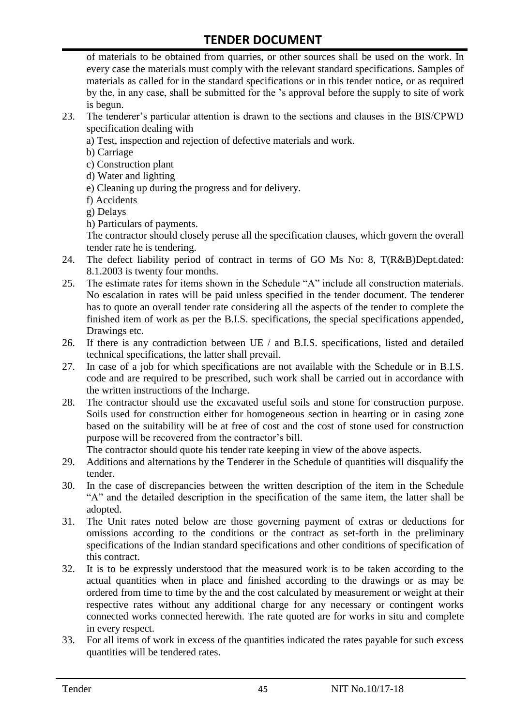of materials to be obtained from quarries, or other sources shall be used on the work. In every case the materials must comply with the relevant standard specifications. Samples of materials as called for in the standard specifications or in this tender notice, or as required by the, in any case, shall be submitted for the 's approval before the supply to site of work is begun.

- 23. The tenderer's particular attention is drawn to the sections and clauses in the BIS/CPWD specification dealing with
	- a) Test, inspection and rejection of defective materials and work.
	- b) Carriage
	- c) Construction plant
	- d) Water and lighting
	- e) Cleaning up during the progress and for delivery.
	- f) Accidents
	- g) Delays
	- h) Particulars of payments.

The contractor should closely peruse all the specification clauses, which govern the overall tender rate he is tendering.

- 24. The defect liability period of contract in terms of GO Ms No: 8, T(R&B)Dept.dated: 8.1.2003 is twenty four months.
- 25. The estimate rates for items shown in the Schedule "A" include all construction materials. No escalation in rates will be paid unless specified in the tender document. The tenderer has to quote an overall tender rate considering all the aspects of the tender to complete the finished item of work as per the B.I.S. specifications, the special specifications appended, Drawings etc.
- 26. If there is any contradiction between UE / and B.I.S. specifications, listed and detailed technical specifications, the latter shall prevail.
- 27. In case of a job for which specifications are not available with the Schedule or in B.I.S. code and are required to be prescribed, such work shall be carried out in accordance with the written instructions of the Incharge.
- 28. The contractor should use the excavated useful soils and stone for construction purpose. Soils used for construction either for homogeneous section in hearting or in casing zone based on the suitability will be at free of cost and the cost of stone used for construction purpose will be recovered from the contractor's bill.

The contractor should quote his tender rate keeping in view of the above aspects.

- 29. Additions and alternations by the Tenderer in the Schedule of quantities will disqualify the tender.
- 30. In the case of discrepancies between the written description of the item in the Schedule "A" and the detailed description in the specification of the same item, the latter shall be adopted.
- 31. The Unit rates noted below are those governing payment of extras or deductions for omissions according to the conditions or the contract as set-forth in the preliminary specifications of the Indian standard specifications and other conditions of specification of this contract.
- 32. It is to be expressly understood that the measured work is to be taken according to the actual quantities when in place and finished according to the drawings or as may be ordered from time to time by the and the cost calculated by measurement or weight at their respective rates without any additional charge for any necessary or contingent works connected works connected herewith. The rate quoted are for works in situ and complete in every respect.
- 33. For all items of work in excess of the quantities indicated the rates payable for such excess quantities will be tendered rates.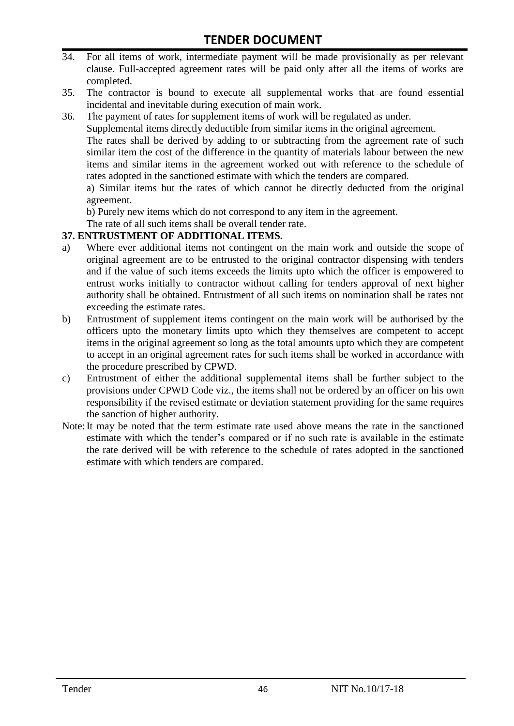- 34. For all items of work, intermediate payment will be made provisionally as per relevant clause. Full-accepted agreement rates will be paid only after all the items of works are completed.
- 35. The contractor is bound to execute all supplemental works that are found essential incidental and inevitable during execution of main work.
- 36. The payment of rates for supplement items of work will be regulated as under.

Supplemental items directly deductible from similar items in the original agreement.

The rates shall be derived by adding to or subtracting from the agreement rate of such similar item the cost of the difference in the quantity of materials labour between the new items and similar items in the agreement worked out with reference to the schedule of rates adopted in the sanctioned estimate with which the tenders are compared.

a) Similar items but the rates of which cannot be directly deducted from the original agreement.

b) Purely new items which do not correspond to any item in the agreement.

The rate of all such items shall be overall tender rate.

#### **37. ENTRUSTMENT OF ADDITIONAL ITEMS.**

- a) Where ever additional items not contingent on the main work and outside the scope of original agreement are to be entrusted to the original contractor dispensing with tenders and if the value of such items exceeds the limits upto which the officer is empowered to entrust works initially to contractor without calling for tenders approval of next higher authority shall be obtained. Entrustment of all such items on nomination shall be rates not exceeding the estimate rates.
- b) Entrustment of supplement items contingent on the main work will be authorised by the officers upto the monetary limits upto which they themselves are competent to accept items in the original agreement so long as the total amounts upto which they are competent to accept in an original agreement rates for such items shall be worked in accordance with the procedure prescribed by CPWD.
- c) Entrustment of either the additional supplemental items shall be further subject to the provisions under CPWD Code viz., the items shall not be ordered by an officer on his own responsibility if the revised estimate or deviation statement providing for the same requires the sanction of higher authority.
- Note:It may be noted that the term estimate rate used above means the rate in the sanctioned estimate with which the tender's compared or if no such rate is available in the estimate the rate derived will be with reference to the schedule of rates adopted in the sanctioned estimate with which tenders are compared.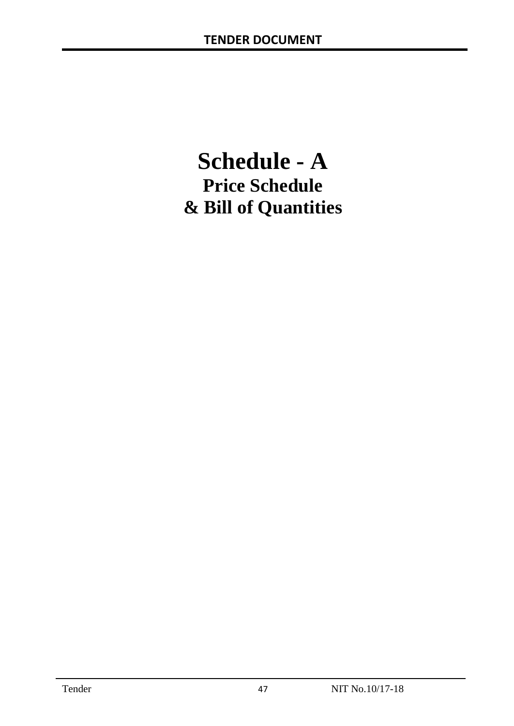# **Schedule - A Price Schedule & Bill of Quantities**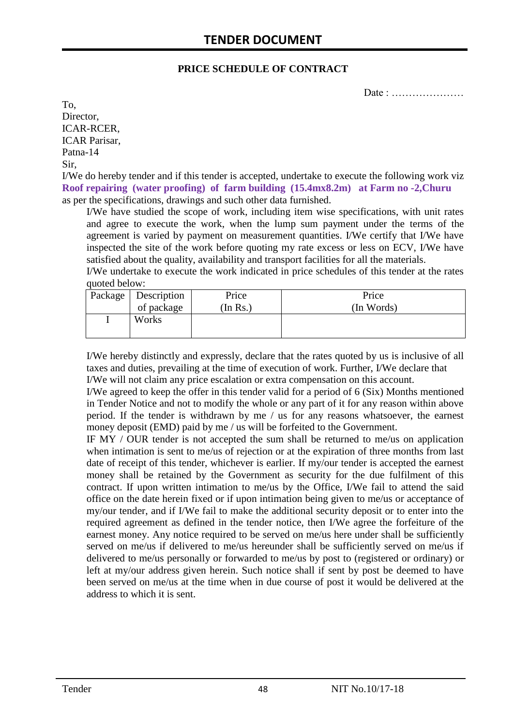#### **PRICE SCHEDULE OF CONTRACT**

Date : …………………

To, Director, ICAR-RCER, ICAR Parisar, Patna-14 Sir,

I/We do hereby tender and if this tender is accepted, undertake to execute the following work viz **Roof repairing (water proofing) of farm building (15.4mx8.2m) at Farm no -2,Churu** as per the specifications, drawings and such other data furnished.

I/We have studied the scope of work, including item wise specifications, with unit rates and agree to execute the work, when the lump sum payment under the terms of the agreement is varied by payment on measurement quantities. I/We certify that I/We have inspected the site of the work before quoting my rate excess or less on ECV, I/We have satisfied about the quality, availability and transport facilities for all the materials.

I/We undertake to execute the work indicated in price schedules of this tender at the rates quoted below:

| Package   Description | Price    | Price      |
|-----------------------|----------|------------|
| of package            | (In Rs.) | (In Words) |
| Works                 |          |            |
|                       |          |            |

I/We hereby distinctly and expressly, declare that the rates quoted by us is inclusive of all taxes and duties, prevailing at the time of execution of work. Further, I/We declare that I/We will not claim any price escalation or extra compensation on this account.

I/We agreed to keep the offer in this tender valid for a period of 6 (Six) Months mentioned in Tender Notice and not to modify the whole or any part of it for any reason within above period. If the tender is withdrawn by me / us for any reasons whatsoever, the earnest money deposit (EMD) paid by me / us will be forfeited to the Government.

IF MY / OUR tender is not accepted the sum shall be returned to me/us on application when intimation is sent to me/us of rejection or at the expiration of three months from last date of receipt of this tender, whichever is earlier. If my/our tender is accepted the earnest money shall be retained by the Government as security for the due fulfilment of this contract. If upon written intimation to me/us by the Office, I/We fail to attend the said office on the date herein fixed or if upon intimation being given to me/us or acceptance of my/our tender, and if I/We fail to make the additional security deposit or to enter into the required agreement as defined in the tender notice, then I/We agree the forfeiture of the earnest money. Any notice required to be served on me/us here under shall be sufficiently served on me/us if delivered to me/us hereunder shall be sufficiently served on me/us if delivered to me/us personally or forwarded to me/us by post to (registered or ordinary) or left at my/our address given herein. Such notice shall if sent by post be deemed to have been served on me/us at the time when in due course of post it would be delivered at the address to which it is sent.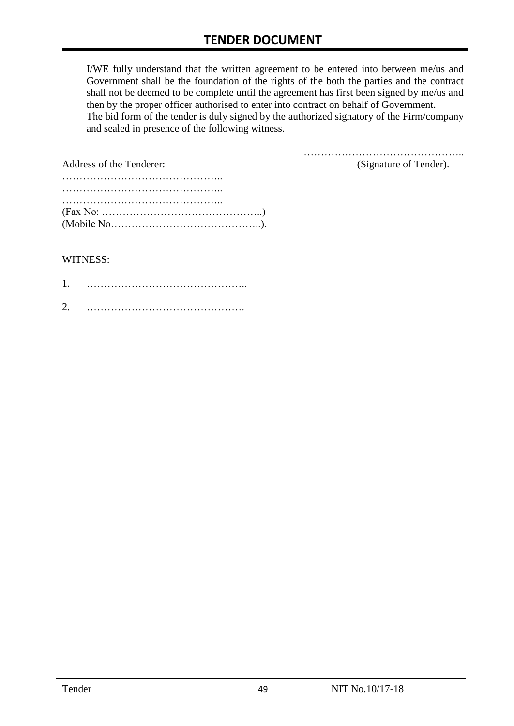I/WE fully understand that the written agreement to be entered into between me/us and Government shall be the foundation of the rights of the both the parties and the contract shall not be deemed to be complete until the agreement has first been signed by me/us and then by the proper officer authorised to enter into contract on behalf of Government. The bid form of the tender is duly signed by the authorized signatory of the Firm/company and sealed in presence of the following witness.

………………………………………..

| Address of the Tenderer:                                                                               | (Signature of Tender). |
|--------------------------------------------------------------------------------------------------------|------------------------|
|                                                                                                        |                        |
| $(Fax No: \ldots \ldots \ldots \ldots \ldots \ldots \ldots \ldots \ldots \ldots \ldots \ldots \ldots)$ |                        |

#### WITNESS:

| ◠ |  |
|---|--|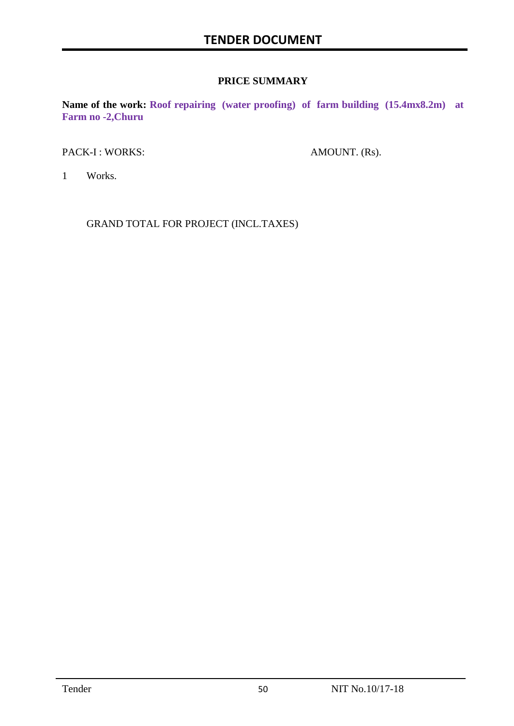#### **PRICE SUMMARY**

**Name of the work: Roof repairing (water proofing) of farm building (15.4mx8.2m) at Farm no -2,Churu**

PACK-I : WORKS: AMOUNT. (Rs).

1 Works.

GRAND TOTAL FOR PROJECT (INCL.TAXES)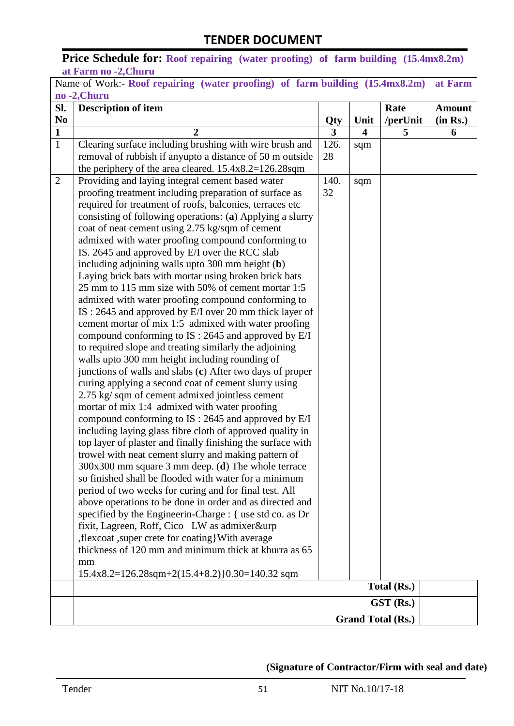**Price Schedule for: Roof repairing (water proofing) of farm building (15.4mx8.2m) at Farm no -2,Churu**

| SI.<br>N <sub>0</sub> | <b>Description of item</b>                                                                                          | Qty  | Unit | Rate<br>/perUnit | <b>Amount</b><br>(in Rs.) |
|-----------------------|---------------------------------------------------------------------------------------------------------------------|------|------|------------------|---------------------------|
| $\mathbf{1}$          | $\overline{2}$                                                                                                      | 3    | 4    | 5                | 6                         |
| $\mathbf{1}$          | Clearing surface including brushing with wire brush and                                                             | 126. | sqm  |                  |                           |
|                       | removal of rubbish if anyupto a distance of 50 m outside                                                            | 28   |      |                  |                           |
|                       | the periphery of the area cleared. $15.4x8.2=126.28$ sqm                                                            |      |      |                  |                           |
| $\overline{2}$        | Providing and laying integral cement based water                                                                    | 140. | sqm  |                  |                           |
|                       | proofing treatment including preparation of surface as                                                              | 32   |      |                  |                           |
|                       | required for treatment of roofs, balconies, terraces etc                                                            |      |      |                  |                           |
|                       | consisting of following operations: (a) Applying a slurry                                                           |      |      |                  |                           |
|                       | coat of neat cement using 2.75 kg/sqm of cement                                                                     |      |      |                  |                           |
|                       | admixed with water proofing compound conforming to<br>IS. 2645 and approved by E/I over the RCC slab                |      |      |                  |                           |
|                       | including adjoining walls upto 300 mm height (b)                                                                    |      |      |                  |                           |
|                       | Laying brick bats with mortar using broken brick bats                                                               |      |      |                  |                           |
|                       | 25 mm to 115 mm size with 50% of cement mortar 1:5                                                                  |      |      |                  |                           |
|                       | admixed with water proofing compound conforming to                                                                  |      |      |                  |                           |
|                       | IS: 2645 and approved by E/I over 20 mm thick layer of                                                              |      |      |                  |                           |
|                       | cement mortar of mix 1:5 admixed with water proofing                                                                |      |      |                  |                           |
|                       | compound conforming to IS : 2645 and approved by E/I                                                                |      |      |                  |                           |
|                       | to required slope and treating similarly the adjoining                                                              |      |      |                  |                           |
|                       | walls upto 300 mm height including rounding of                                                                      |      |      |                  |                           |
|                       | junctions of walls and slabs (c) After two days of proper                                                           |      |      |                  |                           |
|                       | curing applying a second coat of cement slurry using                                                                |      |      |                  |                           |
|                       | 2.75 kg/ sqm of cement admixed jointless cement                                                                     |      |      |                  |                           |
|                       | mortar of mix 1:4 admixed with water proofing                                                                       |      |      |                  |                           |
|                       | compound conforming to IS: 2645 and approved by E/I                                                                 |      |      |                  |                           |
|                       | including laying glass fibre cloth of approved quality in                                                           |      |      |                  |                           |
|                       | top layer of plaster and finally finishing the surface with<br>trowel with neat cement slurry and making pattern of |      |      |                  |                           |
|                       | 300x300 mm square 3 mm deep. (d) The whole terrace                                                                  |      |      |                  |                           |
|                       | so finished shall be flooded with water for a minimum                                                               |      |      |                  |                           |
|                       | period of two weeks for curing and for final test. All                                                              |      |      |                  |                           |
|                       | above operations to be done in order and as directed and                                                            |      |      |                  |                           |
|                       | specified by the Engineerin-Charge : { use std co. as Dr                                                            |      |      |                  |                           |
|                       | fixit, Lagreen, Roff, Cico LW as admixer&urp                                                                        |      |      |                  |                           |
|                       | , flexcoat , super crete for coating } With average                                                                 |      |      |                  |                           |
|                       | thickness of 120 mm and minimum thick at khurra as 65                                                               |      |      |                  |                           |
|                       | mm                                                                                                                  |      |      |                  |                           |
|                       | $15.4x8.2=126.28$ sqm+2(15.4+8.2)}0.30=140.32 sqm                                                                   |      |      |                  |                           |
|                       |                                                                                                                     |      |      | Total (Rs.)      |                           |
|                       |                                                                                                                     |      |      | GST (Rs.)        |                           |

**(Signature of Contractor/Firm with seal and date)**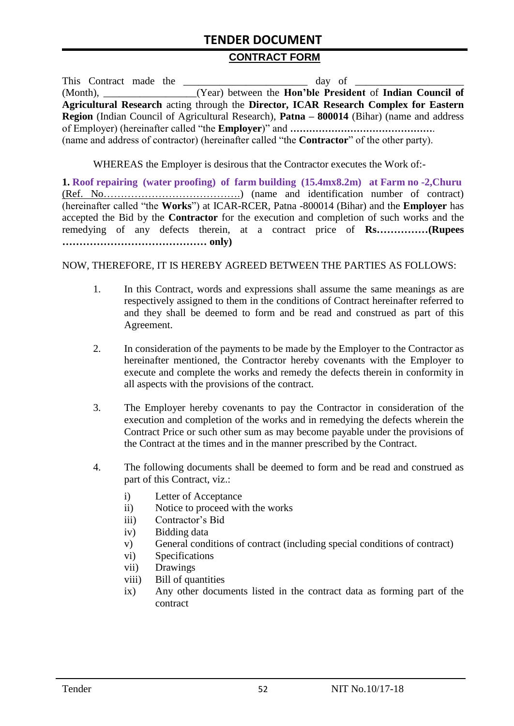# **TENDER DOCUMENT**

#### **CONTRACT FORM**

|  |  | This Contract made the                                                                                   |
|--|--|----------------------------------------------------------------------------------------------------------|
|  |  | (Month), ____________________(Year) between the <b>Hon'ble President</b> of <b>Indian Council of</b>     |
|  |  | Agricultural Research acting through the Director, ICAR Research Complex for Eastern                     |
|  |  | <b>Region</b> (Indian Council of Agricultural Research), <b>Patna – 800014</b> (Bihar) (name and address |
|  |  |                                                                                                          |
|  |  | (name and address of contractor) (hereinafter called "the <b>Contractor</b> " of the other party).       |

WHEREAS the Employer is desirous that the Contractor executes the Work of:-

**1. Roof repairing (water proofing) of farm building (15.4mx8.2m) at Farm no -2,Churu** (Ref. No………………………………….) (name and identification number of contract) (hereinafter called "the **Works**") at ICAR-RCER, Patna -800014 (Bihar) and the **Employer** has accepted the Bid by the **Contractor** for the execution and completion of such works and the remedying of any defects therein, at a contract price of **Rs……………(Rupees …………………………………… only)**

#### NOW, THEREFORE, IT IS HEREBY AGREED BETWEEN THE PARTIES AS FOLLOWS:

- 1. In this Contract, words and expressions shall assume the same meanings as are respectively assigned to them in the conditions of Contract hereinafter referred to and they shall be deemed to form and be read and construed as part of this Agreement.
- 2. In consideration of the payments to be made by the Employer to the Contractor as hereinafter mentioned, the Contractor hereby covenants with the Employer to execute and complete the works and remedy the defects therein in conformity in all aspects with the provisions of the contract.
- 3. The Employer hereby covenants to pay the Contractor in consideration of the execution and completion of the works and in remedying the defects wherein the Contract Price or such other sum as may become payable under the provisions of the Contract at the times and in the manner prescribed by the Contract.
- 4. The following documents shall be deemed to form and be read and construed as part of this Contract, viz.:
	- i) Letter of Acceptance
	- ii) Notice to proceed with the works
	- iii) Contractor's Bid
	- iv) Bidding data
	- v) General conditions of contract (including special conditions of contract)
	- vi) Specifications
	- vii) Drawings
	- viii) Bill of quantities
	- ix) Any other documents listed in the contract data as forming part of the contract